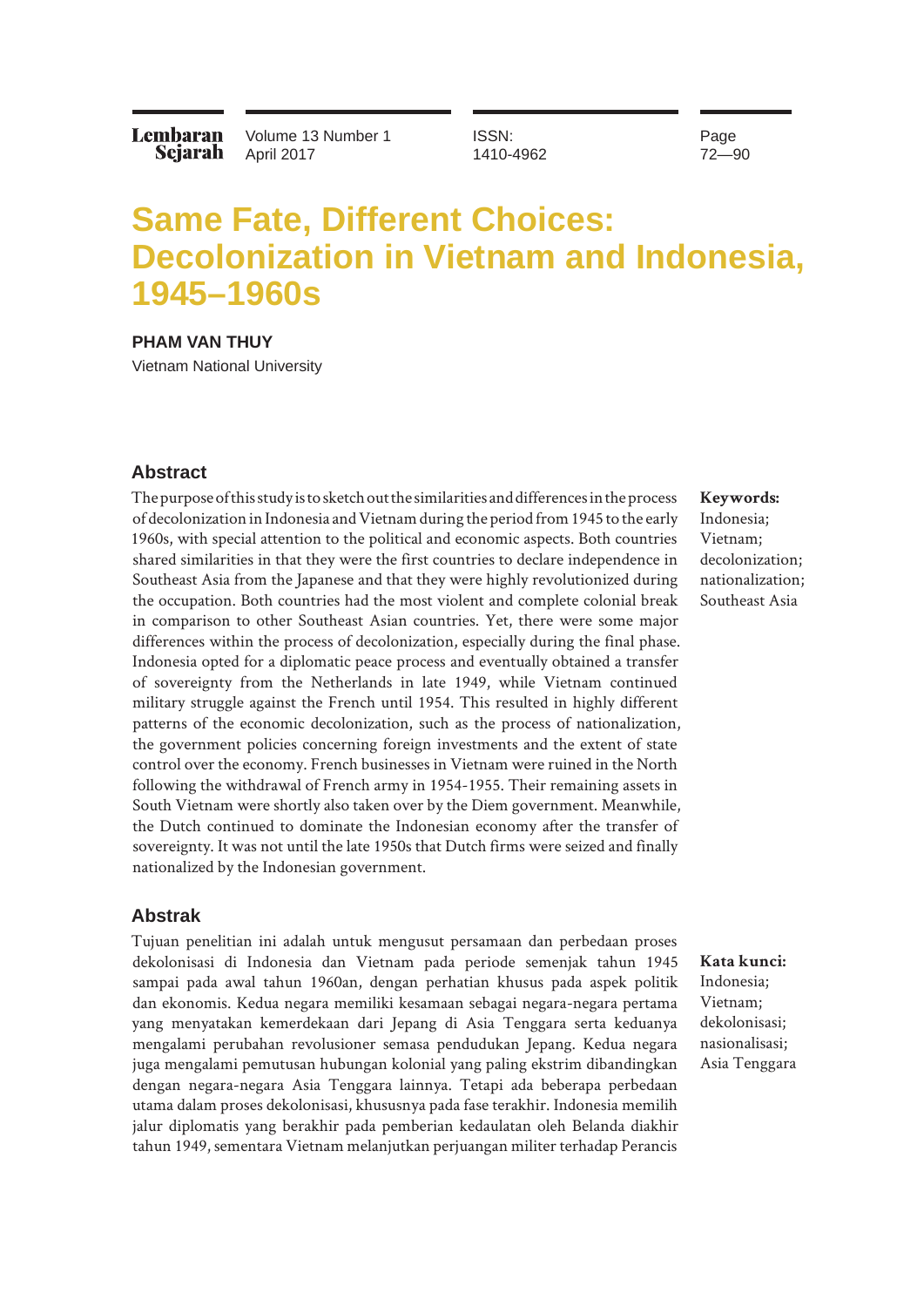Lembaran Sejarah Volume 13 Number 1 April 2017

ISSN: 1410-4962 Page 72—90

# **Same Fate, Different Choices: Decolonization in Vietnam and Indonesia, 1945–1960s**

**PHAM VAN THUY**

Vietnam National University

#### **Abstract**

The purpose of this study is to sketch out the similarities and differences in the process of decolonization in Indonesia and Vietnam during the period from 1945 to the early 1960s, with special attention to the political and economic aspects. Both countries shared similarities in that they were the first countries to declare independence in Southeast Asia from the Japanese and that they were highly revolutionized during the occupation. Both countries had the most violent and complete colonial break in comparison to other Southeast Asian countries. Yet, there were some major differences within the process of decolonization, especially during the final phase. Indonesia opted for a diplomatic peace process and eventually obtained a transfer of sovereignty from the Netherlands in late 1949, while Vietnam continued military struggle against the French until 1954. This resulted in highly different patterns of the economic decolonization, such as the process of nationalization, the government policies concerning foreign investments and the extent of state control over the economy. French businesses in Vietnam were ruined in the North following the withdrawal of French army in 1954-1955. Their remaining assets in South Vietnam were shortly also taken over by the Diem government. Meanwhile, the Dutch continued to dominate the Indonesian economy after the transfer of sovereignty. It was not until the late 1950s that Dutch firms were seized and finally nationalized by the Indonesian government.

### **Abstrak**

Tujuan penelitian ini adalah untuk mengusut persamaan dan perbedaan proses dekolonisasi di Indonesia dan Vietnam pada periode semenjak tahun 1945 sampai pada awal tahun 1960an, dengan perhatian khusus pada aspek politik dan ekonomis. Kedua negara memiliki kesamaan sebagai negara-negara pertama yang menyatakan kemerdekaan dari Jepang di Asia Tenggara serta keduanya mengalami perubahan revolusioner semasa pendudukan Jepang. Kedua negara juga mengalami pemutusan hubungan kolonial yang paling ekstrim dibandingkan dengan negara-negara Asia Tenggara lainnya. Tetapi ada beberapa perbedaan utama dalam proses dekolonisasi, khususnya pada fase terakhir. Indonesia memilih jalur diplomatis yang berakhir pada pemberian kedaulatan oleh Belanda diakhir tahun 1949, sementara Vietnam melanjutkan perjuangan militer terhadap Perancis

**Keywords:**  Indonesia; Vietnam; decolonization; nationalization; Southeast Asia

**Kata kunci:**  Indonesia; Vietnam; dekolonisasi; nasionalisasi; Asia Tenggara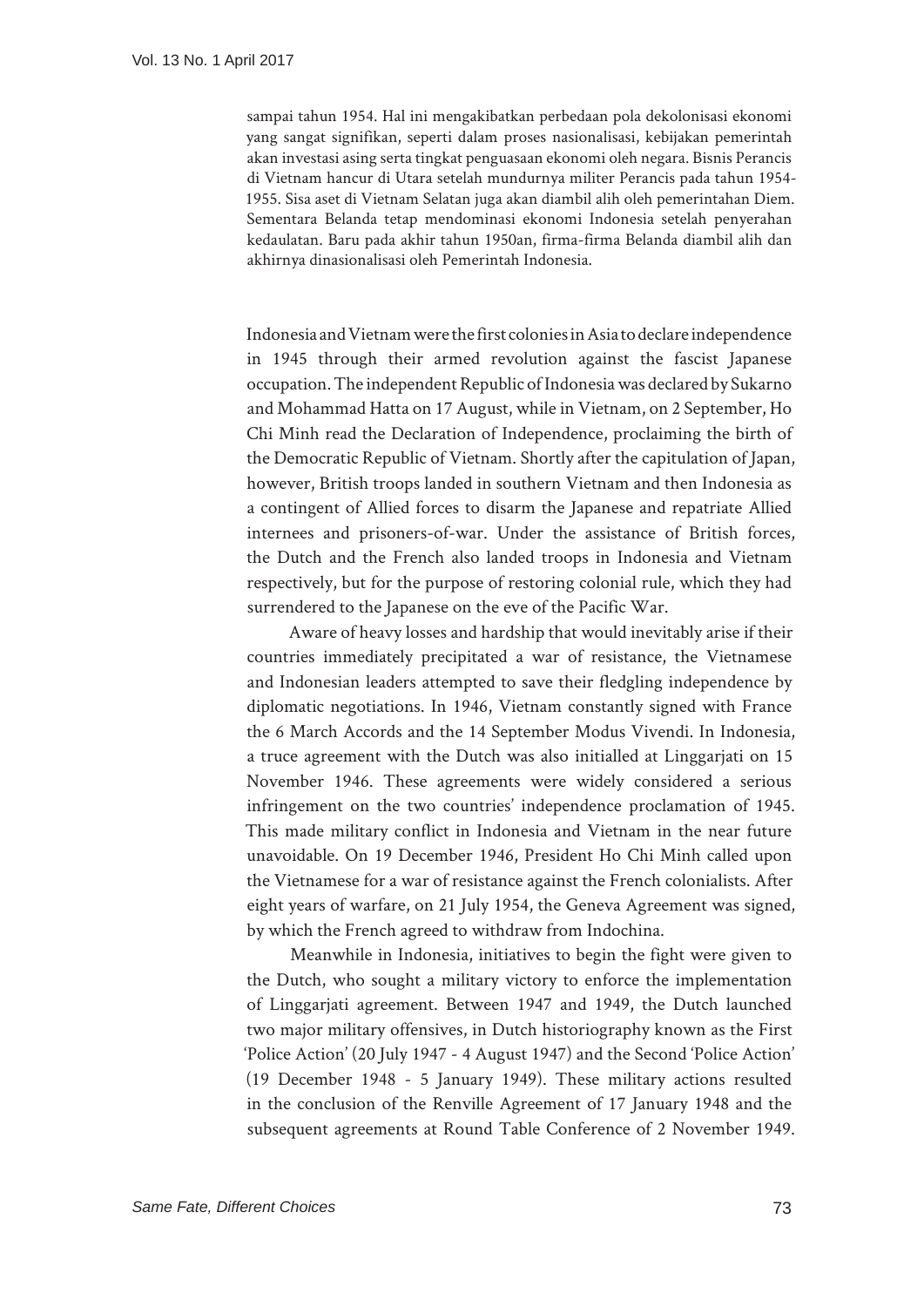sampai tahun 1954. Hal ini mengakibatkan perbedaan pola dekolonisasi ekonomi yang sangat signifikan, seperti dalam proses nasionalisasi, kebijakan pemerintah akan investasi asing serta tingkat penguasaan ekonomi oleh negara. Bisnis Perancis di Vietnam hancur di Utara setelah mundurnya militer Perancis pada tahun 1954- 1955. Sisa aset di Vietnam Selatan juga akan diambil alih oleh pemerintahan Diem. Sementara Belanda tetap mendominasi ekonomi Indonesia setelah penyerahan kedaulatan. Baru pada akhir tahun 1950an, firma-firma Belanda diambil alih dan akhirnya dinasionalisasi oleh Pemerintah Indonesia.

Indonesia and Vietnam were the first colonies in Asia to declare independence in 1945 through their armed revolution against the fascist Japanese occupation. The independent Republic of Indonesia was declared by Sukarno and Mohammad Hatta on 17 August, while in Vietnam, on 2 September, Ho Chi Minh read the Declaration of Independence, proclaiming the birth of the Democratic Republic of Vietnam. Shortly after the capitulation of Japan, however, British troops landed in southern Vietnam and then Indonesia as a contingent of Allied forces to disarm the Japanese and repatriate Allied internees and prisoners-of-war. Under the assistance of British forces, the Dutch and the French also landed troops in Indonesia and Vietnam respectively, but for the purpose of restoring colonial rule, which they had surrendered to the Japanese on the eve of the Pacific War.

Aware of heavy losses and hardship that would inevitably arise if their countries immediately precipitated a war of resistance, the Vietnamese and Indonesian leaders attempted to save their fledgling independence by diplomatic negotiations. In 1946, Vietnam constantly signed with France the 6 March Accords and the 14 September Modus Vivendi. In Indonesia, a truce agreement with the Dutch was also initialled at Linggarjati on 15 November 1946. These agreements were widely considered a serious infringement on the two countries' independence proclamation of 1945. This made military conflict in Indonesia and Vietnam in the near future unavoidable. On 19 December 1946, President Ho Chi Minh called upon the Vietnamese for a war of resistance against the French colonialists. After eight years of warfare, on 21 July 1954, the Geneva Agreement was signed, by which the French agreed to withdraw from Indochina.

Meanwhile in Indonesia, initiatives to begin the fight were given to the Dutch, who sought a military victory to enforce the implementation of Linggarjati agreement. Between 1947 and 1949, the Dutch launched two major military offensives, in Dutch historiography known as the First 'Police Action' (20 July 1947 - 4 August 1947) and the Second 'Police Action' (19 December 1948 - 5 January 1949). These military actions resulted in the conclusion of the Renville Agreement of 17 January 1948 and the subsequent agreements at Round Table Conference of 2 November 1949.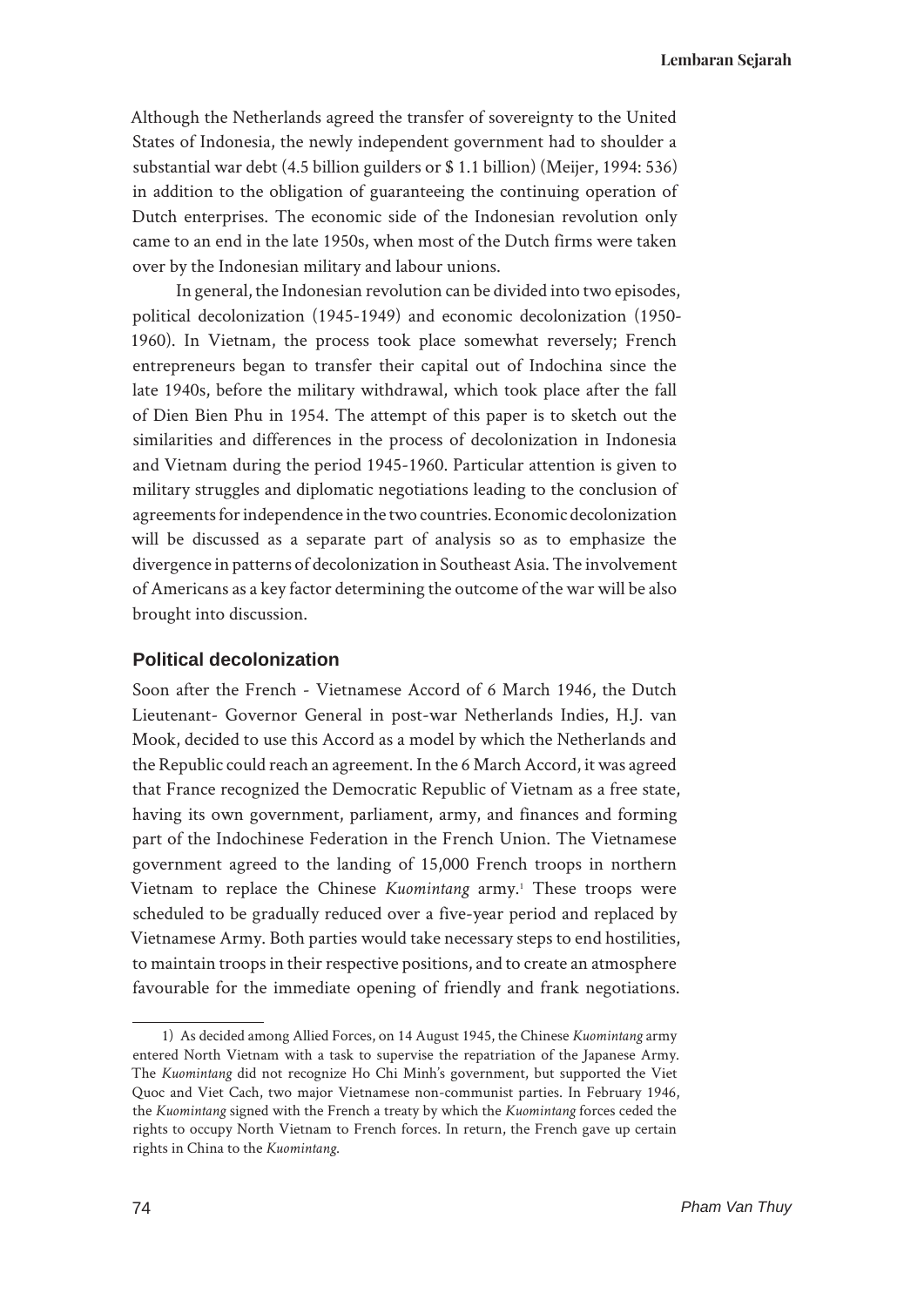Although the Netherlands agreed the transfer of sovereignty to the United States of Indonesia, the newly independent government had to shoulder a substantial war debt (4.5 billion guilders or \$ 1.1 billion) (Meijer, 1994: 536) in addition to the obligation of guaranteeing the continuing operation of Dutch enterprises. The economic side of the Indonesian revolution only came to an end in the late 1950s, when most of the Dutch firms were taken over by the Indonesian military and labour unions.

In general, the Indonesian revolution can be divided into two episodes, political decolonization (1945-1949) and economic decolonization (1950- 1960). In Vietnam, the process took place somewhat reversely; French entrepreneurs began to transfer their capital out of Indochina since the late 1940s, before the military withdrawal, which took place after the fall of Dien Bien Phu in 1954. The attempt of this paper is to sketch out the similarities and differences in the process of decolonization in Indonesia and Vietnam during the period 1945-1960. Particular attention is given to military struggles and diplomatic negotiations leading to the conclusion of agreements for independence in the two countries. Economic decolonization will be discussed as a separate part of analysis so as to emphasize the divergence in patterns of decolonization in Southeast Asia. The involvement of Americans as a key factor determining the outcome of the war will be also brought into discussion.

## **Political decolonization**

Soon after the French - Vietnamese Accord of 6 March 1946, the Dutch Lieutenant- Governor General in post-war Netherlands Indies, H.J. van Mook, decided to use this Accord as a model by which the Netherlands and the Republic could reach an agreement. In the 6 March Accord, it was agreed that France recognized the Democratic Republic of Vietnam as a free state, having its own government, parliament, army, and finances and forming part of the Indochinese Federation in the French Union. The Vietnamese government agreed to the landing of 15,000 French troops in northern Vietnam to replace the Chinese *Kuomintang* army.<sup>1</sup> These troops were scheduled to be gradually reduced over a five-year period and replaced by Vietnamese Army. Both parties would take necessary steps to end hostilities, to maintain troops in their respective positions, and to create an atmosphere favourable for the immediate opening of friendly and frank negotiations.

<sup>1)</sup> As decided among Allied Forces, on 14 August 1945, the Chinese *Kuomintang* army entered North Vietnam with a task to supervise the repatriation of the Japanese Army. The *Kuomintang* did not recognize Ho Chi Minh's government, but supported the Viet Quoc and Viet Cach, two major Vietnamese non-communist parties. In February 1946, the *Kuomintang* signed with the French a treaty by which the *Kuomintang* forces ceded the rights to occupy North Vietnam to French forces. In return, the French gave up certain rights in China to the *Kuomintang*.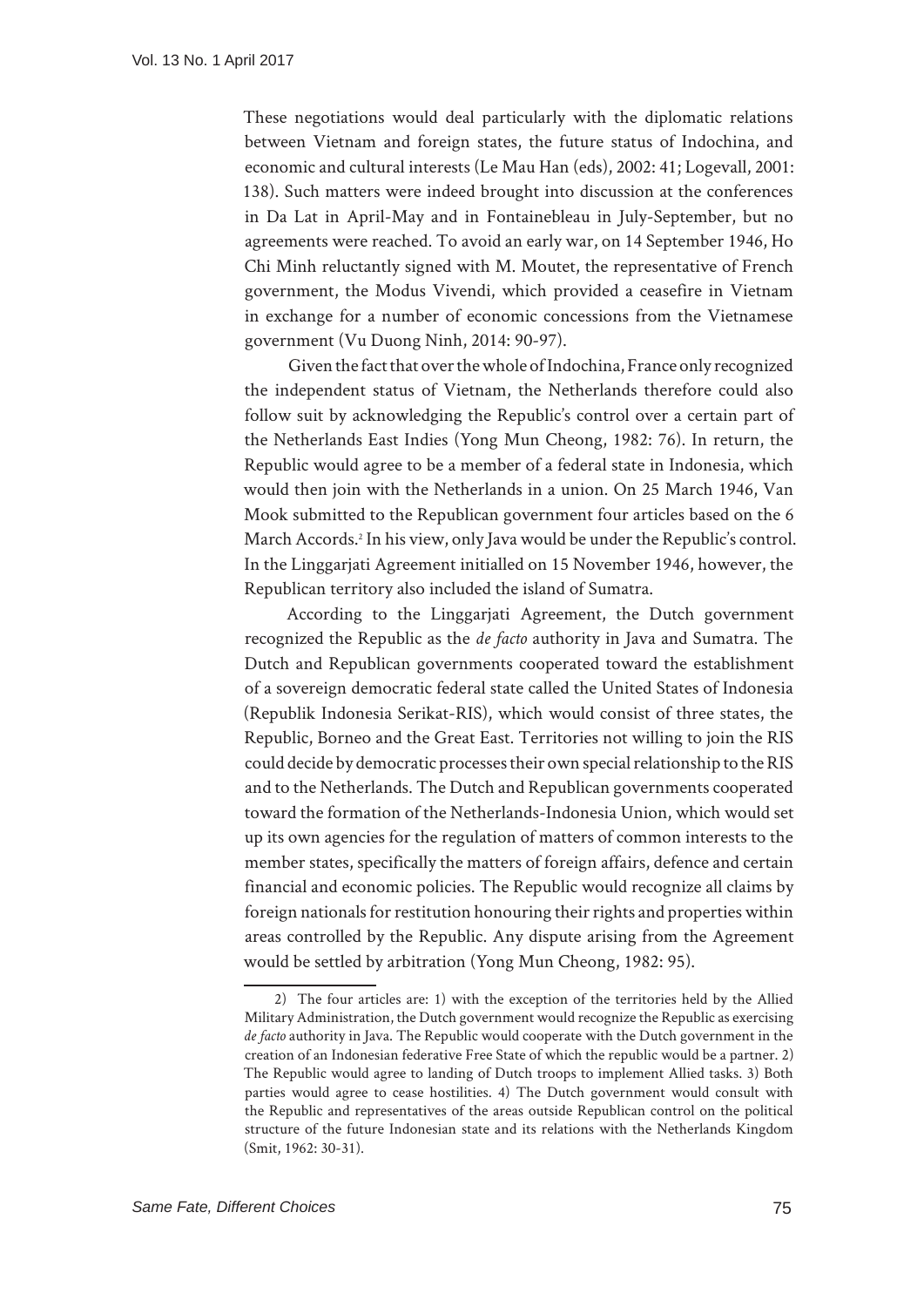These negotiations would deal particularly with the diplomatic relations between Vietnam and foreign states, the future status of Indochina, and economic and cultural interests (Le Mau Han (eds), 2002: 41; Logevall, 2001: 138). Such matters were indeed brought into discussion at the conferences in Da Lat in April-May and in Fontainebleau in July-September, but no agreements were reached. To avoid an early war, on 14 September 1946, Ho Chi Minh reluctantly signed with M. Moutet, the representative of French government, the Modus Vivendi, which provided a ceasefire in Vietnam in exchange for a number of economic concessions from the Vietnamese government (Vu Duong Ninh, 2014: 90-97).

Given the fact that over the whole of Indochina, France only recognized the independent status of Vietnam, the Netherlands therefore could also follow suit by acknowledging the Republic's control over a certain part of the Netherlands East Indies (Yong Mun Cheong, 1982: 76). In return, the Republic would agree to be a member of a federal state in Indonesia, which would then join with the Netherlands in a union. On 25 March 1946, Van Mook submitted to the Republican government four articles based on the 6 March Accords.2 In his view, only Java would be under the Republic's control. In the Linggarjati Agreement initialled on 15 November 1946, however, the Republican territory also included the island of Sumatra.

According to the Linggarjati Agreement, the Dutch government recognized the Republic as the *de facto* authority in Java and Sumatra. The Dutch and Republican governments cooperated toward the establishment of a sovereign democratic federal state called the United States of Indonesia (Republik Indonesia Serikat-RIS), which would consist of three states, the Republic, Borneo and the Great East. Territories not willing to join the RIS could decide by democratic processes their own special relationship to the RIS and to the Netherlands. The Dutch and Republican governments cooperated toward the formation of the Netherlands-Indonesia Union, which would set up its own agencies for the regulation of matters of common interests to the member states, specifically the matters of foreign affairs, defence and certain financial and economic policies. The Republic would recognize all claims by foreign nationals for restitution honouring their rights and properties within areas controlled by the Republic. Any dispute arising from the Agreement would be settled by arbitration (Yong Mun Cheong, 1982: 95).

<sup>2)</sup> The four articles are: 1) with the exception of the territories held by the Allied Military Administration, the Dutch government would recognize the Republic as exercising *de facto* authority in Java. The Republic would cooperate with the Dutch government in the creation of an Indonesian federative Free State of which the republic would be a partner. 2) The Republic would agree to landing of Dutch troops to implement Allied tasks. 3) Both parties would agree to cease hostilities. 4) The Dutch government would consult with the Republic and representatives of the areas outside Republican control on the political structure of the future Indonesian state and its relations with the Netherlands Kingdom (Smit, 1962: 30-31).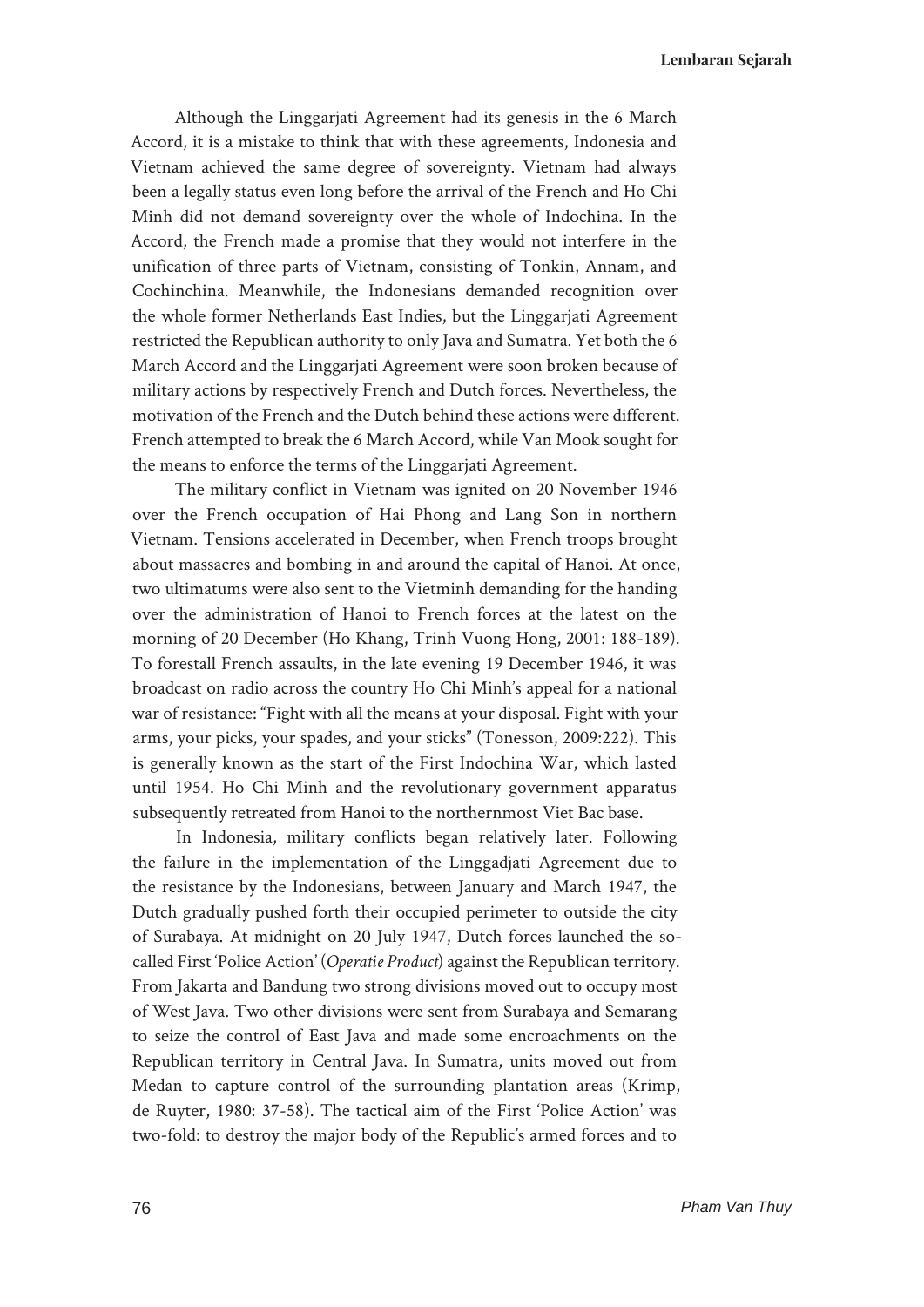Although the Linggarjati Agreement had its genesis in the 6 March Accord, it is a mistake to think that with these agreements, Indonesia and Vietnam achieved the same degree of sovereignty. Vietnam had always been a legally status even long before the arrival of the French and Ho Chi Minh did not demand sovereignty over the whole of Indochina. In the Accord, the French made a promise that they would not interfere in the unification of three parts of Vietnam, consisting of Tonkin, Annam, and Cochinchina. Meanwhile, the Indonesians demanded recognition over the whole former Netherlands East Indies, but the Linggarjati Agreement restricted the Republican authority to only Java and Sumatra. Yet both the 6 March Accord and the Linggarjati Agreement were soon broken because of military actions by respectively French and Dutch forces. Nevertheless, the motivation of the French and the Dutch behind these actions were different. French attempted to break the 6 March Accord, while Van Mook sought for the means to enforce the terms of the Linggarjati Agreement.

The military conflict in Vietnam was ignited on 20 November 1946 over the French occupation of Hai Phong and Lang Son in northern Vietnam. Tensions accelerated in December, when French troops brought about massacres and bombing in and around the capital of Hanoi. At once, two ultimatums were also sent to the Vietminh demanding for the handing over the administration of Hanoi to French forces at the latest on the morning of 20 December (Ho Khang, Trinh Vuong Hong, 2001: 188-189). To forestall French assaults, in the late evening 19 December 1946, it was broadcast on radio across the country Ho Chi Minh's appeal for a national war of resistance: "Fight with all the means at your disposal. Fight with your arms, your picks, your spades, and your sticks" (Tonesson, 2009:222). This is generally known as the start of the First Indochina War, which lasted until 1954. Ho Chi Minh and the revolutionary government apparatus subsequently retreated from Hanoi to the northernmost Viet Bac base.

In Indonesia, military conflicts began relatively later. Following the failure in the implementation of the Linggadjati Agreement due to the resistance by the Indonesians, between January and March 1947, the Dutch gradually pushed forth their occupied perimeter to outside the city of Surabaya. At midnight on 20 July 1947, Dutch forces launched the socalled First 'Police Action' (*Operatie Product*) against the Republican territory. From Jakarta and Bandung two strong divisions moved out to occupy most of West Java. Two other divisions were sent from Surabaya and Semarang to seize the control of East Java and made some encroachments on the Republican territory in Central Java. In Sumatra, units moved out from Medan to capture control of the surrounding plantation areas (Krimp, de Ruyter, 1980: 37-58). The tactical aim of the First 'Police Action' was two-fold: to destroy the major body of the Republic's armed forces and to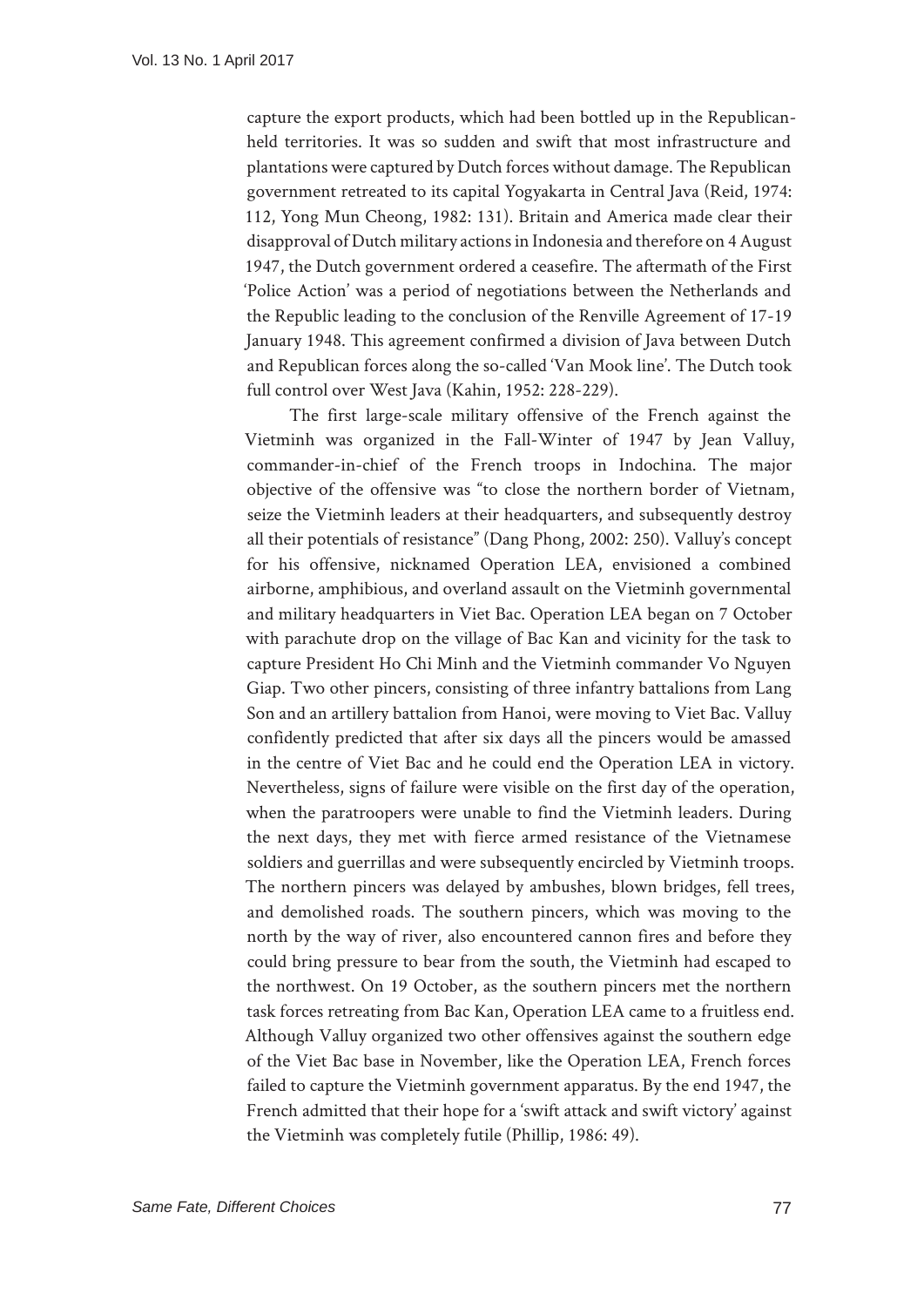capture the export products, which had been bottled up in the Republicanheld territories. It was so sudden and swift that most infrastructure and plantations were captured by Dutch forces without damage. The Republican government retreated to its capital Yogyakarta in Central Java (Reid, 1974: 112, Yong Mun Cheong, 1982: 131). Britain and America made clear their disapproval of Dutch military actions in Indonesia and therefore on 4 August 1947, the Dutch government ordered a ceasefire. The aftermath of the First 'Police Action' was a period of negotiations between the Netherlands and the Republic leading to the conclusion of the Renville Agreement of 17-19 January 1948. This agreement confirmed a division of Java between Dutch and Republican forces along the so-called 'Van Mook line'. The Dutch took full control over West Java (Kahin, 1952: 228-229).

The first large-scale military offensive of the French against the Vietminh was organized in the Fall-Winter of 1947 by Jean Valluy, commander-in-chief of the French troops in Indochina. The major objective of the offensive was "to close the northern border of Vietnam, seize the Vietminh leaders at their headquarters, and subsequently destroy all their potentials of resistance" (Dang Phong, 2002: 250). Valluy's concept for his offensive, nicknamed Operation LEA, envisioned a combined airborne, amphibious, and overland assault on the Vietminh governmental and military headquarters in Viet Bac. Operation LEA began on 7 October with parachute drop on the village of Bac Kan and vicinity for the task to capture President Ho Chi Minh and the Vietminh commander Vo Nguyen Giap. Two other pincers, consisting of three infantry battalions from Lang Son and an artillery battalion from Hanoi, were moving to Viet Bac. Valluy confidently predicted that after six days all the pincers would be amassed in the centre of Viet Bac and he could end the Operation LEA in victory. Nevertheless, signs of failure were visible on the first day of the operation, when the paratroopers were unable to find the Vietminh leaders. During the next days, they met with fierce armed resistance of the Vietnamese soldiers and guerrillas and were subsequently encircled by Vietminh troops. The northern pincers was delayed by ambushes, blown bridges, fell trees, and demolished roads. The southern pincers, which was moving to the north by the way of river, also encountered cannon fires and before they could bring pressure to bear from the south, the Vietminh had escaped to the northwest. On 19 October, as the southern pincers met the northern task forces retreating from Bac Kan, Operation LEA came to a fruitless end. Although Valluy organized two other offensives against the southern edge of the Viet Bac base in November, like the Operation LEA, French forces failed to capture the Vietminh government apparatus. By the end 1947, the French admitted that their hope for a 'swift attack and swift victory' against the Vietminh was completely futile (Phillip, 1986: 49).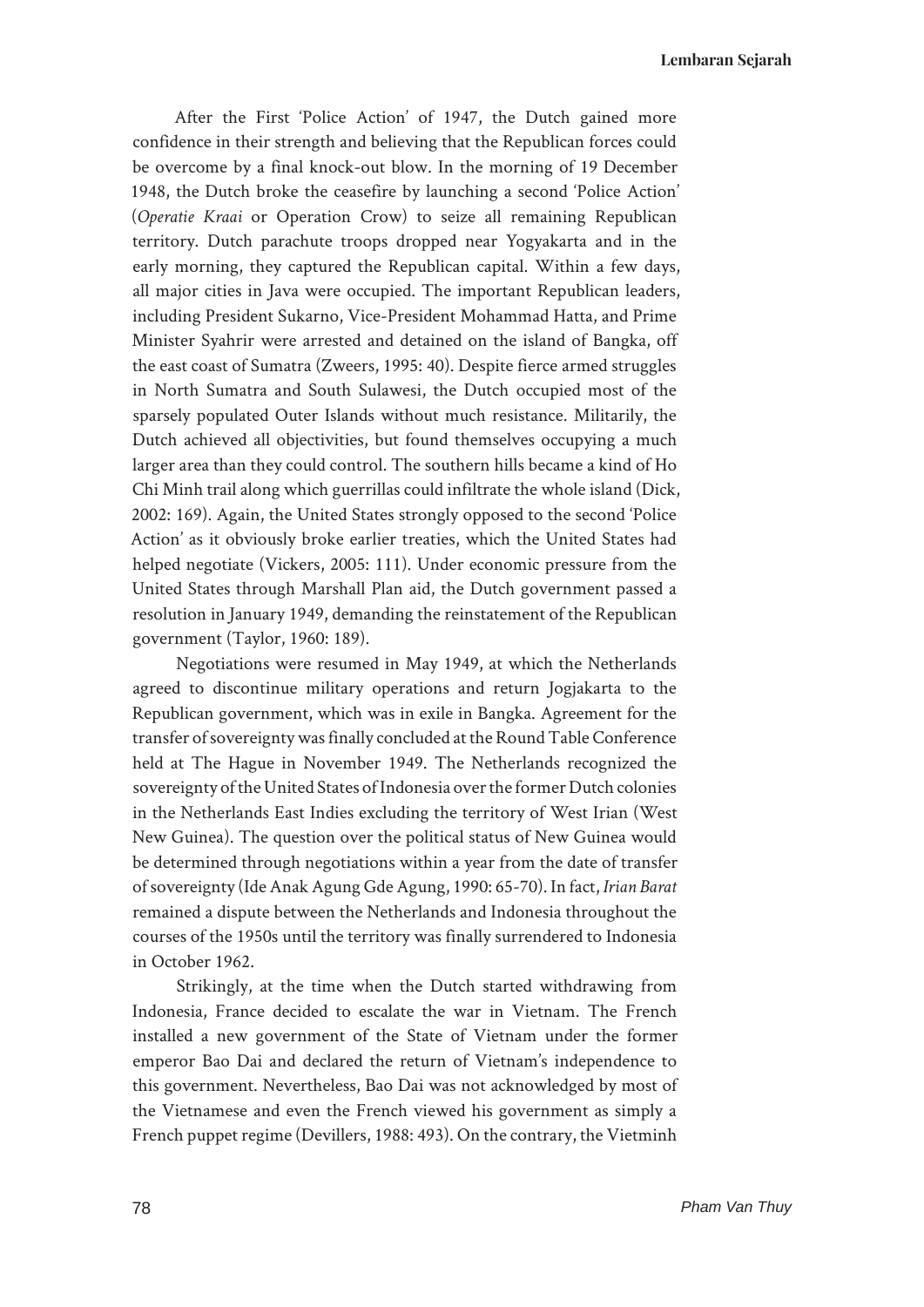**Lembaran Sejarah**

After the First 'Police Action' of 1947, the Dutch gained more confidence in their strength and believing that the Republican forces could be overcome by a final knock-out blow. In the morning of 19 December 1948, the Dutch broke the ceasefire by launching a second 'Police Action' (*Operatie Kraai* or Operation Crow) to seize all remaining Republican territory. Dutch parachute troops dropped near Yogyakarta and in the early morning, they captured the Republican capital. Within a few days, all major cities in Java were occupied. The important Republican leaders, including President Sukarno, Vice-President Mohammad Hatta, and Prime Minister Syahrir were arrested and detained on the island of Bangka, off the east coast of Sumatra (Zweers, 1995: 40). Despite fierce armed struggles in North Sumatra and South Sulawesi, the Dutch occupied most of the sparsely populated Outer Islands without much resistance. Militarily, the Dutch achieved all objectivities, but found themselves occupying a much larger area than they could control. The southern hills became a kind of Ho Chi Minh trail along which guerrillas could infiltrate the whole island (Dick, 2002: 169). Again, the United States strongly opposed to the second 'Police Action' as it obviously broke earlier treaties, which the United States had helped negotiate (Vickers, 2005: 111). Under economic pressure from the United States through Marshall Plan aid, the Dutch government passed a resolution in January 1949, demanding the reinstatement of the Republican government (Taylor, 1960: 189).

Negotiations were resumed in May 1949, at which the Netherlands agreed to discontinue military operations and return Jogjakarta to the Republican government, which was in exile in Bangka. Agreement for the transfer of sovereignty was finally concluded at the Round Table Conference held at The Hague in November 1949. The Netherlands recognized the sovereignty of the United States of Indonesia over the former Dutch colonies in the Netherlands East Indies excluding the territory of West Irian (West New Guinea). The question over the political status of New Guinea would be determined through negotiations within a year from the date of transfer of sovereignty (Ide Anak Agung Gde Agung, 1990: 65-70). In fact, *Irian Barat* remained a dispute between the Netherlands and Indonesia throughout the courses of the 1950s until the territory was finally surrendered to Indonesia in October 1962.

Strikingly, at the time when the Dutch started withdrawing from Indonesia, France decided to escalate the war in Vietnam. The French installed a new government of the State of Vietnam under the former emperor Bao Dai and declared the return of Vietnam's independence to this government. Nevertheless, Bao Dai was not acknowledged by most of the Vietnamese and even the French viewed his government as simply a French puppet regime (Devillers, 1988: 493). On the contrary, the Vietminh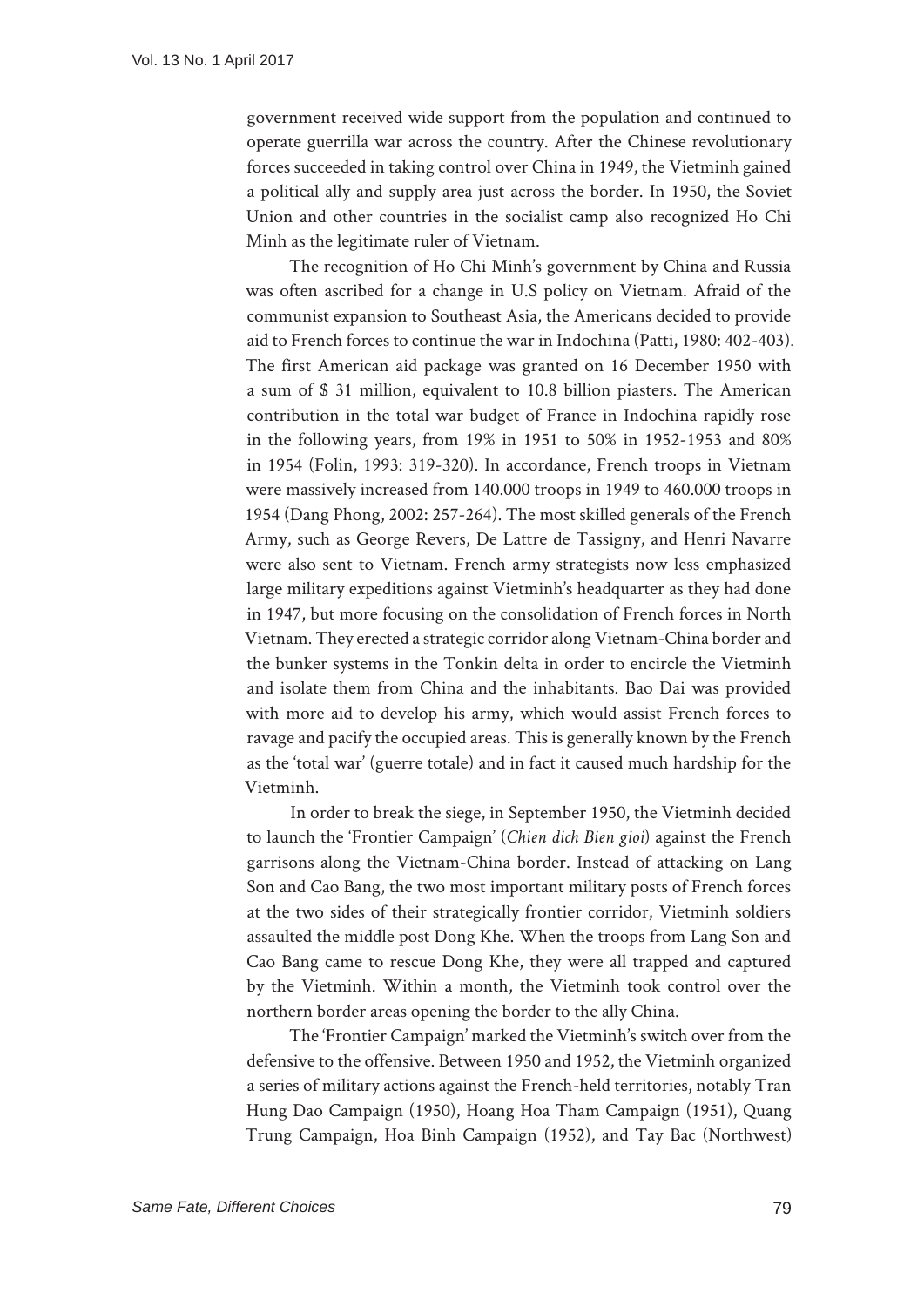government received wide support from the population and continued to operate guerrilla war across the country. After the Chinese revolutionary forces succeeded in taking control over China in 1949, the Vietminh gained a political ally and supply area just across the border. In 1950, the Soviet Union and other countries in the socialist camp also recognized Ho Chi Minh as the legitimate ruler of Vietnam.

The recognition of Ho Chi Minh's government by China and Russia was often ascribed for a change in U.S policy on Vietnam. Afraid of the communist expansion to Southeast Asia, the Americans decided to provide aid to French forces to continue the war in Indochina (Patti, 1980: 402-403). The first American aid package was granted on 16 December 1950 with a sum of \$ 31 million, equivalent to 10.8 billion piasters. The American contribution in the total war budget of France in Indochina rapidly rose in the following years, from 19% in 1951 to 50% in 1952-1953 and 80% in 1954 (Folin, 1993: 319-320). In accordance, French troops in Vietnam were massively increased from 140.000 troops in 1949 to 460.000 troops in 1954 (Dang Phong, 2002: 257-264). The most skilled generals of the French Army, such as George Revers, De Lattre de Tassigny, and Henri Navarre were also sent to Vietnam. French army strategists now less emphasized large military expeditions against Vietminh's headquarter as they had done in 1947, but more focusing on the consolidation of French forces in North Vietnam. They erected a strategic corridor along Vietnam-China border and the bunker systems in the Tonkin delta in order to encircle the Vietminh and isolate them from China and the inhabitants. Bao Dai was provided with more aid to develop his army, which would assist French forces to ravage and pacify the occupied areas. This is generally known by the French as the 'total war' (guerre totale) and in fact it caused much hardship for the Vietminh.

In order to break the siege, in September 1950, the Vietminh decided to launch the 'Frontier Campaign' (*Chien dich Bien gioi*) against the French garrisons along the Vietnam-China border. Instead of attacking on Lang Son and Cao Bang, the two most important military posts of French forces at the two sides of their strategically frontier corridor, Vietminh soldiers assaulted the middle post Dong Khe. When the troops from Lang Son and Cao Bang came to rescue Dong Khe, they were all trapped and captured by the Vietminh. Within a month, the Vietminh took control over the northern border areas opening the border to the ally China.

The 'Frontier Campaign' marked the Vietminh's switch over from the defensive to the offensive. Between 1950 and 1952, the Vietminh organized a series of military actions against the French-held territories, notably Tran Hung Dao Campaign (1950), Hoang Hoa Tham Campaign (1951), Quang Trung Campaign, Hoa Binh Campaign (1952), and Tay Bac (Northwest)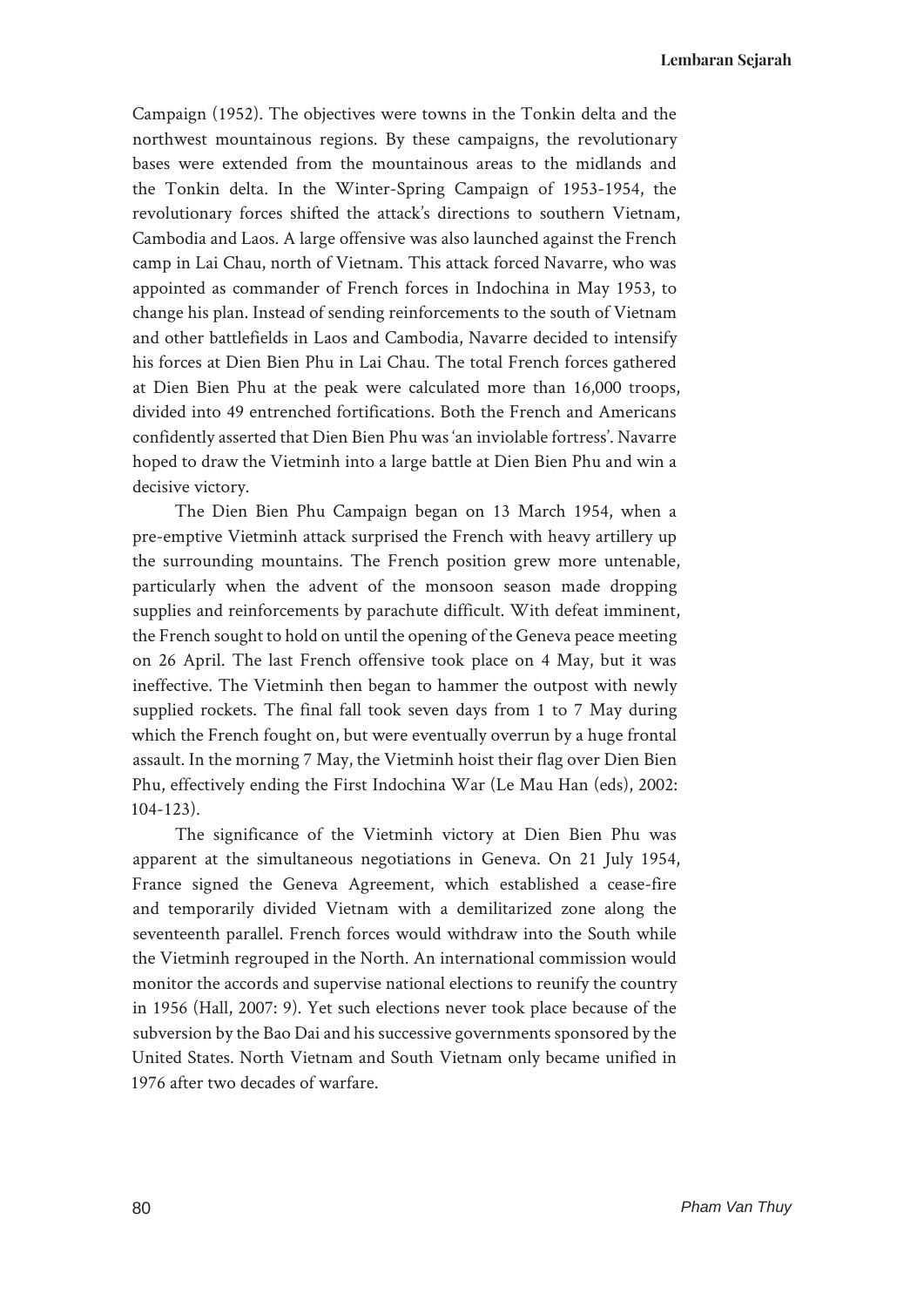Campaign (1952). The objectives were towns in the Tonkin delta and the northwest mountainous regions. By these campaigns, the revolutionary bases were extended from the mountainous areas to the midlands and the Tonkin delta. In the Winter-Spring Campaign of 1953-1954, the revolutionary forces shifted the attack's directions to southern Vietnam, Cambodia and Laos. A large offensive was also launched against the French camp in Lai Chau, north of Vietnam. This attack forced Navarre, who was appointed as commander of French forces in Indochina in May 1953, to change his plan. Instead of sending reinforcements to the south of Vietnam and other battlefields in Laos and Cambodia, Navarre decided to intensify his forces at Dien Bien Phu in Lai Chau. The total French forces gathered at Dien Bien Phu at the peak were calculated more than 16,000 troops, divided into 49 entrenched fortifications. Both the French and Americans confidently asserted that Dien Bien Phu was 'an inviolable fortress'. Navarre hoped to draw the Vietminh into a large battle at Dien Bien Phu and win a decisive victory.

The Dien Bien Phu Campaign began on 13 March 1954, when a pre-emptive Vietminh attack surprised the French with heavy artillery up the surrounding mountains. The French position grew more untenable, particularly when the advent of the monsoon season made dropping supplies and reinforcements by parachute difficult. With defeat imminent, the French sought to hold on until the opening of the Geneva peace meeting on 26 April. The last French offensive took place on 4 May, but it was ineffective. The Vietminh then began to hammer the outpost with newly supplied rockets. The final fall took seven days from 1 to 7 May during which the French fought on, but were eventually overrun by a huge frontal assault. In the morning 7 May, the Vietminh hoist their flag over Dien Bien Phu, effectively ending the First Indochina War (Le Mau Han (eds), 2002: 104-123).

The significance of the Vietminh victory at Dien Bien Phu was apparent at the simultaneous negotiations in Geneva. On 21 July 1954, France signed the Geneva Agreement, which established a cease-fire and temporarily divided Vietnam with a demilitarized zone along the seventeenth parallel. French forces would withdraw into the South while the Vietminh regrouped in the North. An international commission would monitor the accords and supervise national elections to reunify the country in 1956 (Hall, 2007: 9). Yet such elections never took place because of the subversion by the Bao Dai and his successive governments sponsored by the United States. North Vietnam and South Vietnam only became unified in 1976 after two decades of warfare.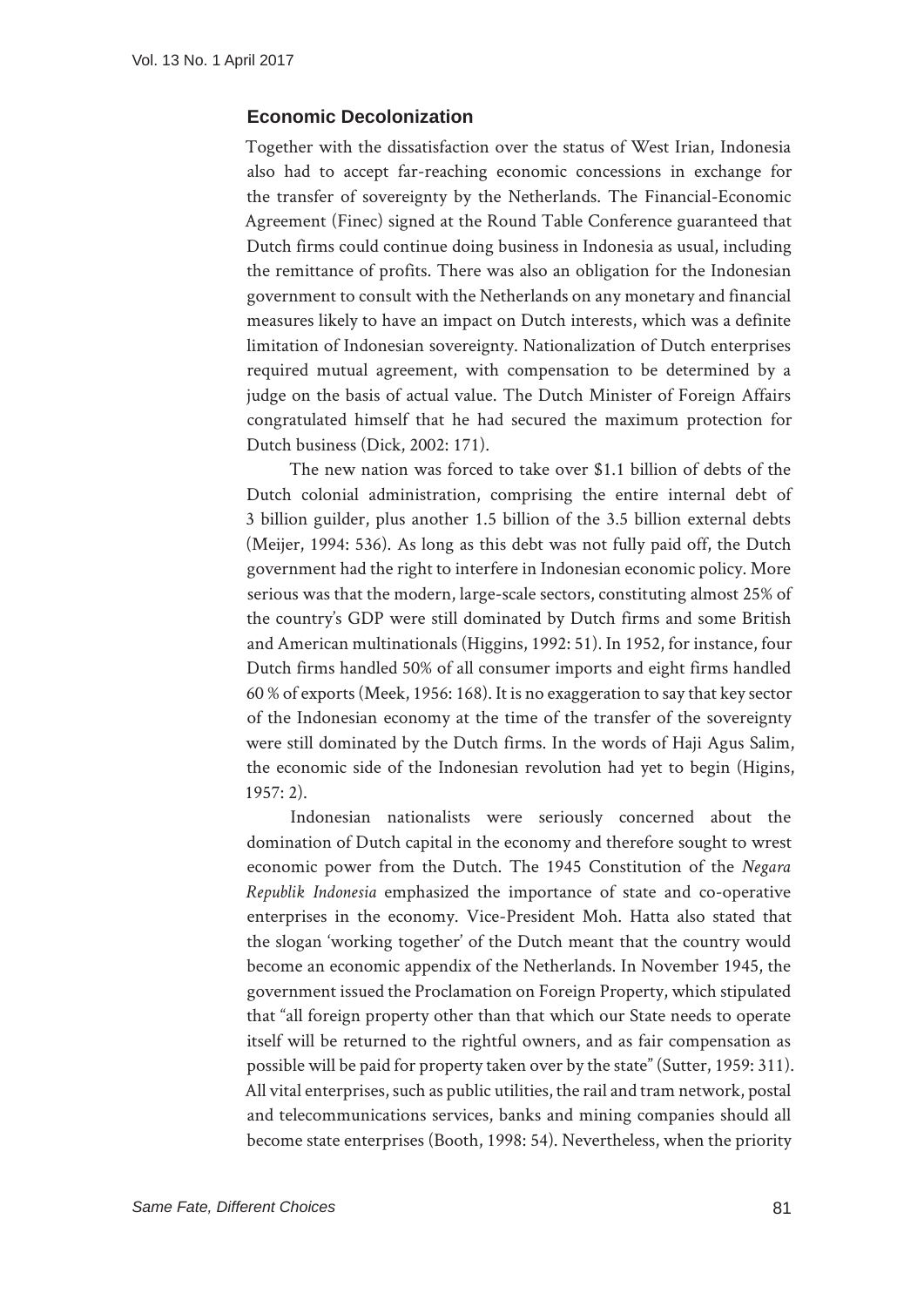### **Economic Decolonization**

Together with the dissatisfaction over the status of West Irian, Indonesia also had to accept far-reaching economic concessions in exchange for the transfer of sovereignty by the Netherlands. The Financial-Economic Agreement (Finec) signed at the Round Table Conference guaranteed that Dutch firms could continue doing business in Indonesia as usual, including the remittance of profits. There was also an obligation for the Indonesian government to consult with the Netherlands on any monetary and financial measures likely to have an impact on Dutch interests, which was a definite limitation of Indonesian sovereignty. Nationalization of Dutch enterprises required mutual agreement, with compensation to be determined by a judge on the basis of actual value. The Dutch Minister of Foreign Affairs congratulated himself that he had secured the maximum protection for Dutch business (Dick, 2002: 171).

The new nation was forced to take over \$1.1 billion of debts of the Dutch colonial administration, comprising the entire internal debt of 3 billion guilder, plus another 1.5 billion of the 3.5 billion external debts (Meijer, 1994: 536). As long as this debt was not fully paid off, the Dutch government had the right to interfere in Indonesian economic policy. More serious was that the modern, large-scale sectors, constituting almost 25% of the country's GDP were still dominated by Dutch firms and some British and American multinationals (Higgins, 1992: 51). In 1952, for instance, four Dutch firms handled 50% of all consumer imports and eight firms handled 60 % of exports (Meek, 1956: 168). It is no exaggeration to say that key sector of the Indonesian economy at the time of the transfer of the sovereignty were still dominated by the Dutch firms. In the words of Haji Agus Salim, the economic side of the Indonesian revolution had yet to begin (Higins, 1957: 2).

Indonesian nationalists were seriously concerned about the domination of Dutch capital in the economy and therefore sought to wrest economic power from the Dutch. The 1945 Constitution of the *Negara Republik Indonesia* emphasized the importance of state and co-operative enterprises in the economy. Vice-President Moh. Hatta also stated that the slogan 'working together' of the Dutch meant that the country would become an economic appendix of the Netherlands. In November 1945, the government issued the Proclamation on Foreign Property, which stipulated that "all foreign property other than that which our State needs to operate itself will be returned to the rightful owners, and as fair compensation as possible will be paid for property taken over by the state" (Sutter, 1959: 311). All vital enterprises, such as public utilities, the rail and tram network, postal and telecommunications services, banks and mining companies should all become state enterprises (Booth, 1998: 54). Nevertheless, when the priority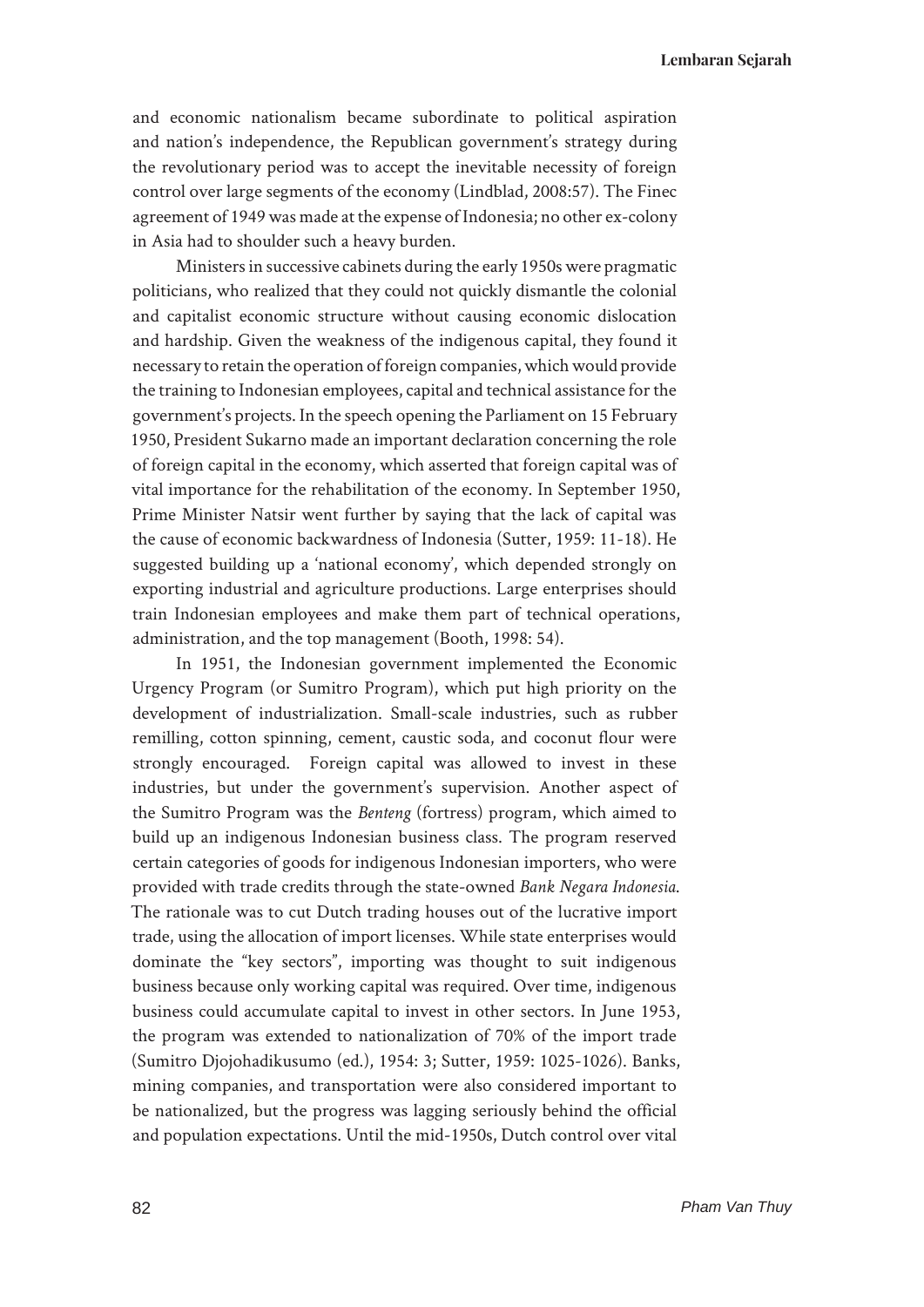**Lembaran Sejarah**

and economic nationalism became subordinate to political aspiration and nation's independence, the Republican government's strategy during the revolutionary period was to accept the inevitable necessity of foreign control over large segments of the economy (Lindblad, 2008:57). The Finec agreement of 1949 was made at the expense of Indonesia; no other ex-colony in Asia had to shoulder such a heavy burden.

Ministers in successive cabinets during the early 1950s were pragmatic politicians, who realized that they could not quickly dismantle the colonial and capitalist economic structure without causing economic dislocation and hardship. Given the weakness of the indigenous capital, they found it necessary to retain the operation of foreign companies, which would provide the training to Indonesian employees, capital and technical assistance for the government's projects. In the speech opening the Parliament on 15 February 1950, President Sukarno made an important declaration concerning the role of foreign capital in the economy, which asserted that foreign capital was of vital importance for the rehabilitation of the economy. In September 1950, Prime Minister Natsir went further by saying that the lack of capital was the cause of economic backwardness of Indonesia (Sutter, 1959: 11-18). He suggested building up a 'national economy', which depended strongly on exporting industrial and agriculture productions. Large enterprises should train Indonesian employees and make them part of technical operations, administration, and the top management (Booth, 1998: 54).

In 1951, the Indonesian government implemented the Economic Urgency Program (or Sumitro Program), which put high priority on the development of industrialization. Small-scale industries, such as rubber remilling, cotton spinning, cement, caustic soda, and coconut flour were strongly encouraged. Foreign capital was allowed to invest in these industries, but under the government's supervision. Another aspect of the Sumitro Program was the *Benteng* (fortress) program, which aimed to build up an indigenous Indonesian business class. The program reserved certain categories of goods for indigenous Indonesian importers, who were provided with trade credits through the state-owned *Bank Negara Indonesia*. The rationale was to cut Dutch trading houses out of the lucrative import trade, using the allocation of import licenses. While state enterprises would dominate the "key sectors", importing was thought to suit indigenous business because only working capital was required. Over time, indigenous business could accumulate capital to invest in other sectors. In June 1953, the program was extended to nationalization of 70% of the import trade (Sumitro Djojohadikusumo (ed.), 1954: 3; Sutter, 1959: 1025-1026). Banks, mining companies, and transportation were also considered important to be nationalized, but the progress was lagging seriously behind the official and population expectations. Until the mid-1950s, Dutch control over vital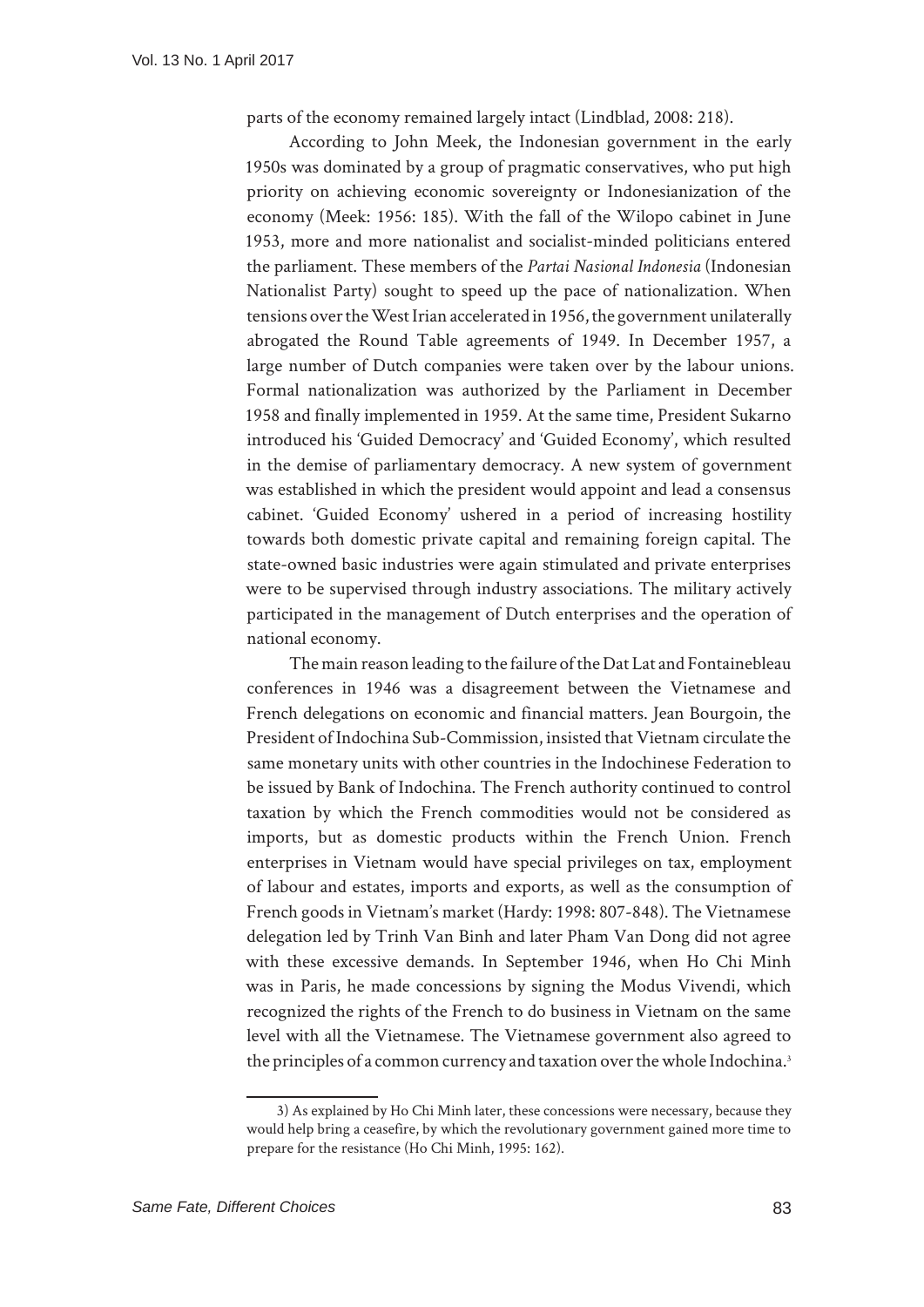parts of the economy remained largely intact (Lindblad, 2008: 218).

According to John Meek, the Indonesian government in the early 1950s was dominated by a group of pragmatic conservatives, who put high priority on achieving economic sovereignty or Indonesianization of the economy (Meek: 1956: 185). With the fall of the Wilopo cabinet in June 1953, more and more nationalist and socialist-minded politicians entered the parliament. These members of the *Partai Nasional Indonesia* (Indonesian Nationalist Party) sought to speed up the pace of nationalization. When tensions over the West Irian accelerated in 1956, the government unilaterally abrogated the Round Table agreements of 1949. In December 1957, a large number of Dutch companies were taken over by the labour unions. Formal nationalization was authorized by the Parliament in December 1958 and finally implemented in 1959. At the same time, President Sukarno introduced his 'Guided Democracy' and 'Guided Economy', which resulted in the demise of parliamentary democracy. A new system of government was established in which the president would appoint and lead a consensus cabinet. 'Guided Economy' ushered in a period of increasing hostility towards both domestic private capital and remaining foreign capital. The state-owned basic industries were again stimulated and private enterprises were to be supervised through industry associations. The military actively participated in the management of Dutch enterprises and the operation of national economy.

The main reason leading to the failure of the Dat Lat and Fontainebleau conferences in 1946 was a disagreement between the Vietnamese and French delegations on economic and financial matters. Jean Bourgoin, the President of Indochina Sub-Commission, insisted that Vietnam circulate the same monetary units with other countries in the Indochinese Federation to be issued by Bank of Indochina. The French authority continued to control taxation by which the French commodities would not be considered as imports, but as domestic products within the French Union. French enterprises in Vietnam would have special privileges on tax, employment of labour and estates, imports and exports, as well as the consumption of French goods in Vietnam's market (Hardy: 1998: 807-848). The Vietnamese delegation led by Trinh Van Binh and later Pham Van Dong did not agree with these excessive demands. In September 1946, when Ho Chi Minh was in Paris, he made concessions by signing the Modus Vivendi, which recognized the rights of the French to do business in Vietnam on the same level with all the Vietnamese. The Vietnamese government also agreed to the principles of a common currency and taxation over the whole Indochina.<sup>3</sup>

<sup>3)</sup> As explained by Ho Chi Minh later, these concessions were necessary, because they would help bring a ceasefire, by which the revolutionary government gained more time to prepare for the resistance (Ho Chi Minh, 1995: 162).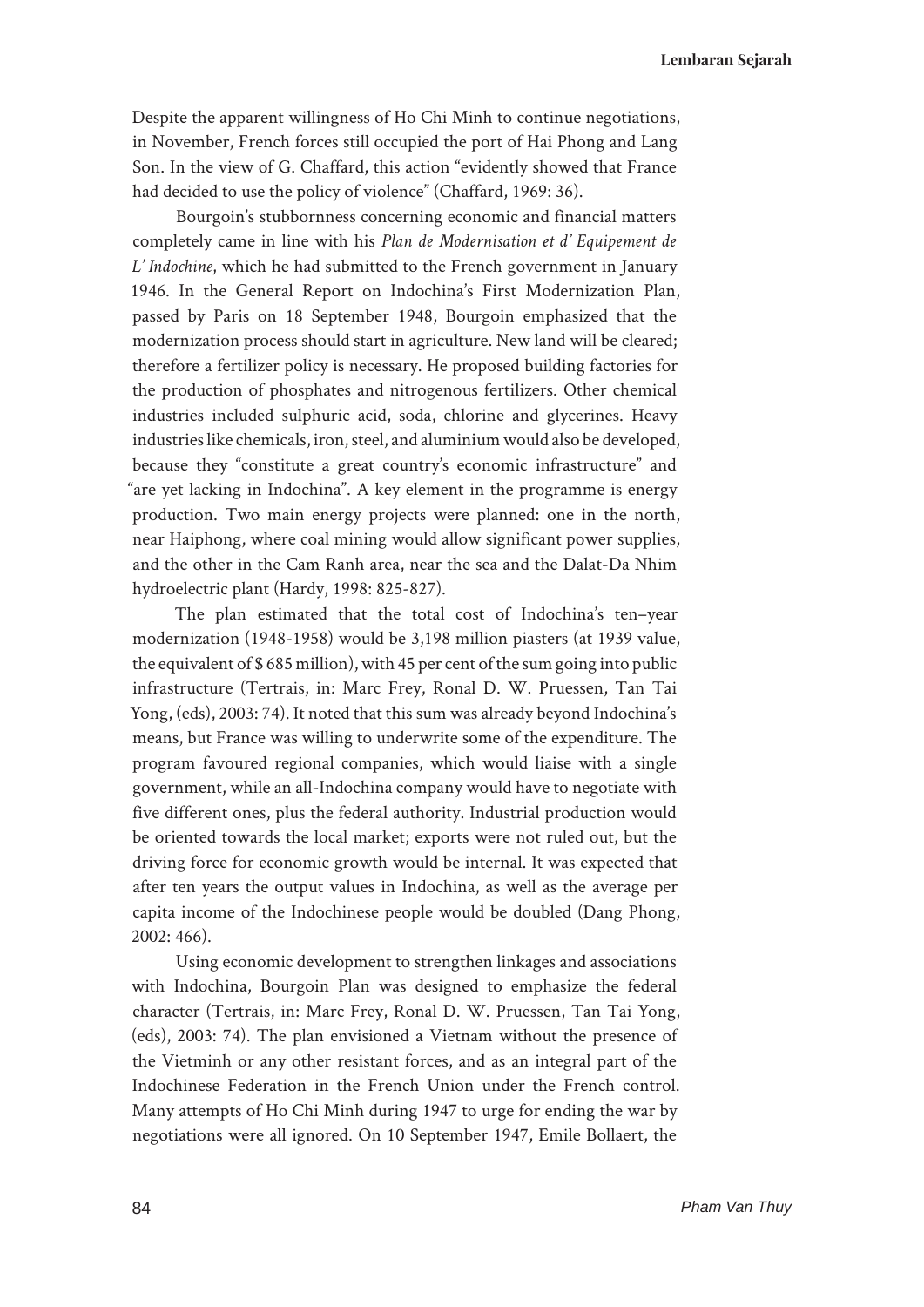**Lembaran Sejarah**

Despite the apparent willingness of Ho Chi Minh to continue negotiations, in November, French forces still occupied the port of Hai Phong and Lang Son. In the view of G. Chaffard, this action "evidently showed that France had decided to use the policy of violence" (Chaffard, 1969: 36).

Bourgoin's stubbornness concerning economic and financial matters completely came in line with his *Plan de Modernisation et d' Equipement de L' Indochine*, which he had submitted to the French government in January 1946. In the General Report on Indochina's First Modernization Plan, passed by Paris on 18 September 1948, Bourgoin emphasized that the modernization process should start in agriculture. New land will be cleared; therefore a fertilizer policy is necessary. He proposed building factories for the production of phosphates and nitrogenous fertilizers. Other chemical industries included sulphuric acid, soda, chlorine and glycerines. Heavy industries like chemicals, iron, steel, and aluminium would also be developed, because they "constitute a great country's economic infrastructure" and "are yet lacking in Indochina". A key element in the programme is energy production. Two main energy projects were planned: one in the north, near Haiphong, where coal mining would allow significant power supplies, and the other in the Cam Ranh area, near the sea and the Dalat-Da Nhim hydroelectric plant (Hardy, 1998: 825-827).

The plan estimated that the total cost of Indochina's ten–year modernization (1948-1958) would be 3,198 million piasters (at 1939 value, the equivalent of \$ 685 million), with 45 per cent of the sum going into public infrastructure (Tertrais, in: Marc Frey, Ronal D. W. Pruessen, Tan Tai Yong, (eds), 2003: 74). It noted that this sum was already beyond Indochina's means, but France was willing to underwrite some of the expenditure. The program favoured regional companies, which would liaise with a single government, while an all-Indochina company would have to negotiate with five different ones, plus the federal authority. Industrial production would be oriented towards the local market; exports were not ruled out, but the driving force for economic growth would be internal. It was expected that after ten years the output values in Indochina, as well as the average per capita income of the Indochinese people would be doubled (Dang Phong, 2002: 466).

Using economic development to strengthen linkages and associations with Indochina, Bourgoin Plan was designed to emphasize the federal character (Tertrais, in: Marc Frey, Ronal D. W. Pruessen, Tan Tai Yong, (eds), 2003: 74). The plan envisioned a Vietnam without the presence of the Vietminh or any other resistant forces, and as an integral part of the Indochinese Federation in the French Union under the French control. Many attempts of Ho Chi Minh during 1947 to urge for ending the war by negotiations were all ignored. On 10 September 1947, Emile Bollaert, the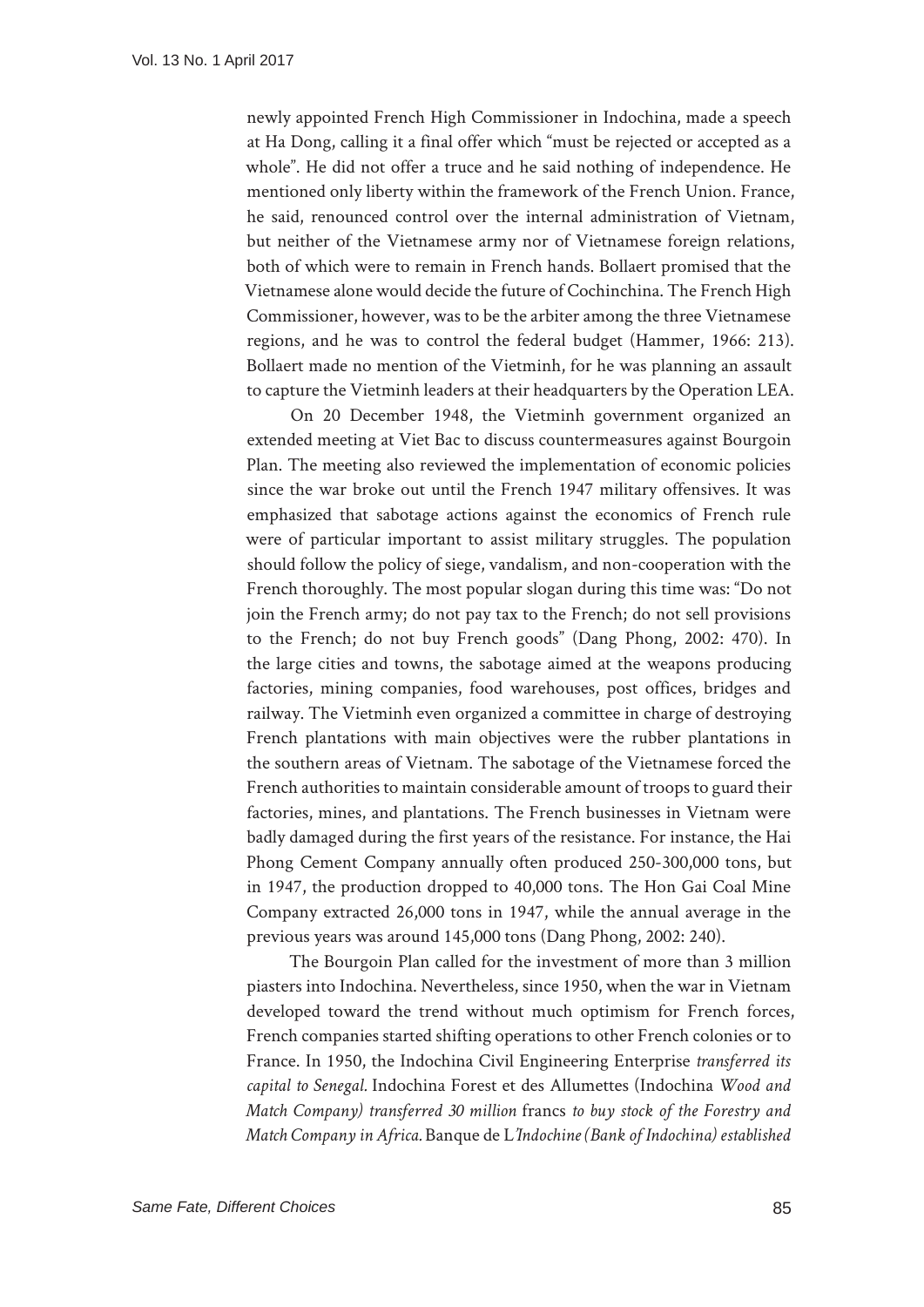newly appointed French High Commissioner in Indochina, made a speech at Ha Dong, calling it a final offer which "must be rejected or accepted as a whole". He did not offer a truce and he said nothing of independence. He mentioned only liberty within the framework of the French Union. France, he said, renounced control over the internal administration of Vietnam, but neither of the Vietnamese army nor of Vietnamese foreign relations, both of which were to remain in French hands. Bollaert promised that the Vietnamese alone would decide the future of Cochinchina. The French High Commissioner, however, was to be the arbiter among the three Vietnamese regions, and he was to control the federal budget (Hammer, 1966: 213). Bollaert made no mention of the Vietminh, for he was planning an assault to capture the Vietminh leaders at their headquarters by the Operation LEA.

On 20 December 1948, the Vietminh government organized an extended meeting at Viet Bac to discuss countermeasures against Bourgoin Plan. The meeting also reviewed the implementation of economic policies since the war broke out until the French 1947 military offensives. It was emphasized that sabotage actions against the economics of French rule were of particular important to assist military struggles. The population should follow the policy of siege, vandalism, and non-cooperation with the French thoroughly. The most popular slogan during this time was: "Do not join the French army; do not pay tax to the French; do not sell provisions to the French; do not buy French goods" (Dang Phong, 2002: 470). In the large cities and towns, the sabotage aimed at the weapons producing factories, mining companies, food warehouses, post offices, bridges and railway. The Vietminh even organized a committee in charge of destroying French plantations with main objectives were the rubber plantations in the southern areas of Vietnam. The sabotage of the Vietnamese forced the French authorities to maintain considerable amount of troops to guard their factories, mines, and plantations. The French businesses in Vietnam were badly damaged during the first years of the resistance. For instance, the Hai Phong Cement Company annually often produced 250-300,000 tons, but in 1947, the production dropped to 40,000 tons. The Hon Gai Coal Mine Company extracted 26,000 tons in 1947, while the annual average in the previous years was around 145,000 tons (Dang Phong, 2002: 240).

The Bourgoin Plan called for the investment of more than 3 million piasters into Indochina. Nevertheless, since 1950, when the war in Vietnam developed toward the trend without much optimism for French forces, French companies started shifting operations to other French colonies or to France. In 1950, the Indochina Civil Engineering Enterprise *transferred its capital to Senegal.* Indochina Forest et des Allumettes (Indochina *Wood and Match Company) transferred 30 million* francs *to buy stock of the Forestry and Match Company in Africa.* Banque de L*'Indochine (Bank of Indochina) established*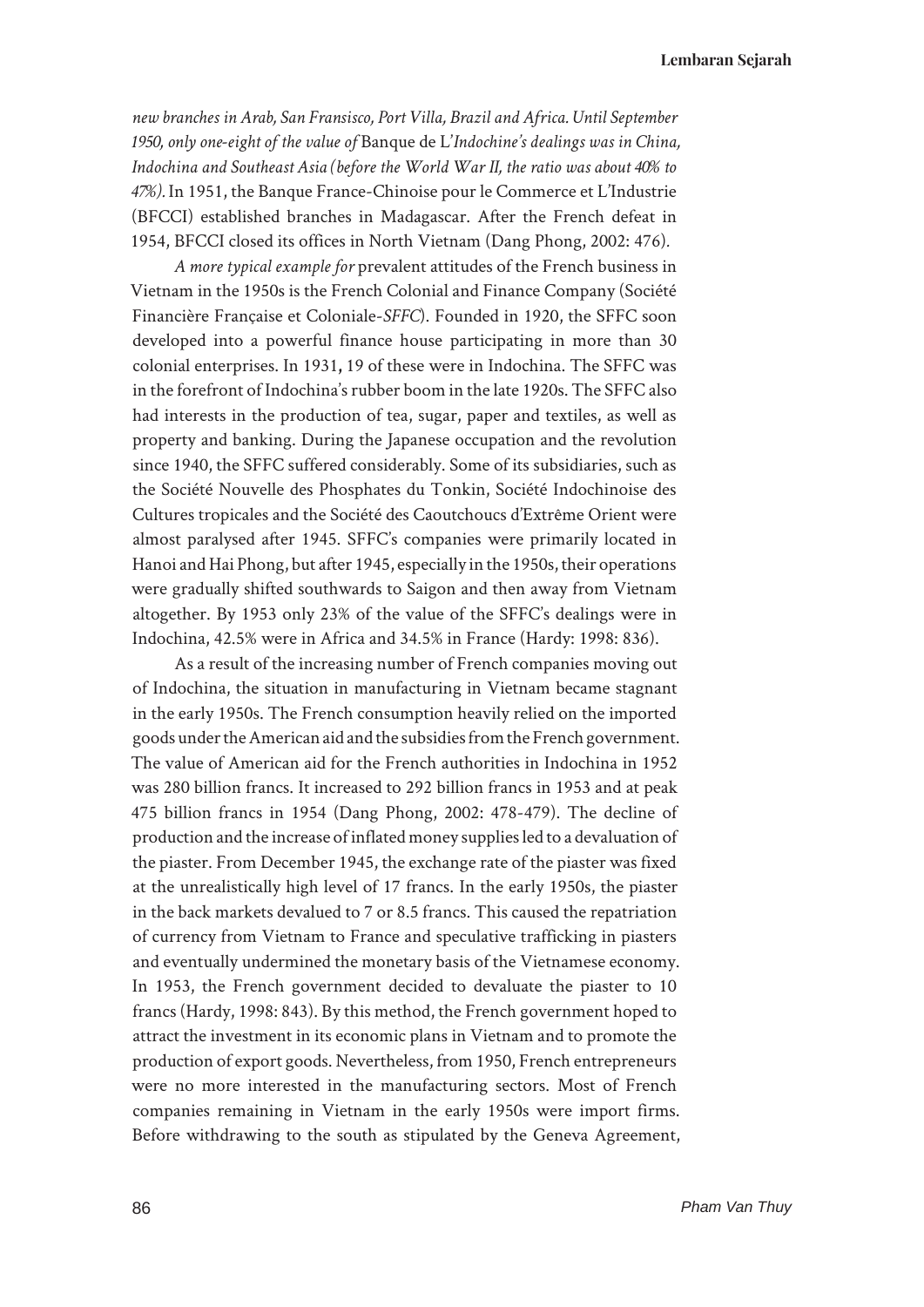*new branches in Arab, San Fransisco, Port Villa, Brazil and Africa. Until September 1950, only one-eight of the value of* Banque de L'*Indochine's dealings was in China, Indochina and Southeast Asia (before the World War II, the ratio was about 40% to 47%).* In 1951, the Banque France-Chinoise pour le Commerce et L'Industrie (BFCCI) established branches in Madagascar. After the French defeat in 1954, BFCCI closed its offices in North Vietnam (Dang Phong, 2002: 476)*.* 

*A more typical example for* prevalent attitudes of the French business in Vietnam in the 1950s is the French Colonial and Finance Company (Société Financière Française et Coloniale-*SFFC*). Founded in 1920, the SFFC soon developed into a powerful finance house participating in more than 30 colonial enterprises. In 1931**,** 19 of these were in Indochina. The SFFC was in the forefront of Indochina's rubber boom in the late 1920s. The SFFC also had interests in the production of tea, sugar, paper and textiles, as well as property and banking. During the Japanese occupation and the revolution since 1940, the SFFC suffered considerably. Some of its subsidiaries, such as the Société Nouvelle des Phosphates du Tonkin, Société Indochinoise des Cultures tropicales and the Société des Caoutchoucs d'Extrême Orient were almost paralysed after 1945. SFFC's companies were primarily located in Hanoi and Hai Phong, but after 1945, especially in the 1950s, their operations were gradually shifted southwards to Saigon and then away from Vietnam altogether. By 1953 only 23% of the value of the SFFC's dealings were in Indochina, 42.5% were in Africa and 34.5% in France (Hardy: 1998: 836).

As a result of the increasing number of French companies moving out of Indochina, the situation in manufacturing in Vietnam became stagnant in the early 1950s. The French consumption heavily relied on the imported goods under the American aid and the subsidies from the French government. The value of American aid for the French authorities in Indochina in 1952 was 280 billion francs. It increased to 292 billion francs in 1953 and at peak 475 billion francs in 1954 (Dang Phong, 2002: 478-479). The decline of production and the increase of inflated money supplies led to a devaluation of the piaster. From December 1945, the exchange rate of the piaster was fixed at the unrealistically high level of 17 francs. In the early 1950s, the piaster in the back markets devalued to 7 or 8.5 francs. This caused the repatriation of currency from Vietnam to France and speculative trafficking in piasters and eventually undermined the monetary basis of the Vietnamese economy. In 1953, the French government decided to devaluate the piaster to 10 francs (Hardy, 1998: 843). By this method, the French government hoped to attract the investment in its economic plans in Vietnam and to promote the production of export goods. Nevertheless, from 1950, French entrepreneurs were no more interested in the manufacturing sectors. Most of French companies remaining in Vietnam in the early 1950s were import firms. Before withdrawing to the south as stipulated by the Geneva Agreement,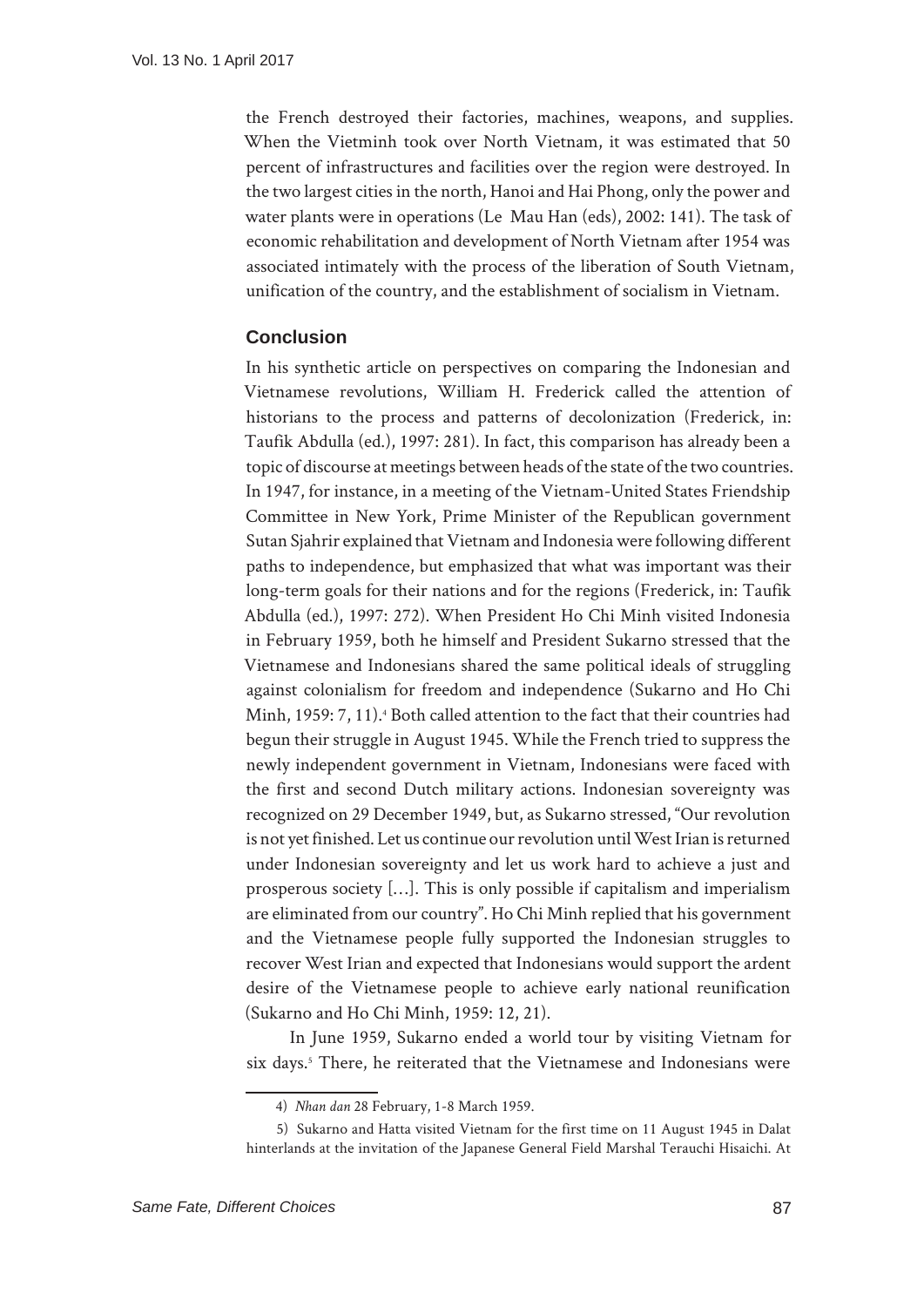the French destroyed their factories, machines, weapons, and supplies. When the Vietminh took over North Vietnam, it was estimated that 50 percent of infrastructures and facilities over the region were destroyed. In the two largest cities in the north, Hanoi and Hai Phong, only the power and water plants were in operations (Le Mau Han (eds), 2002: 141). The task of economic rehabilitation and development of North Vietnam after 1954 was associated intimately with the process of the liberation of South Vietnam, unification of the country, and the establishment of socialism in Vietnam.

## **Conclusion**

In his synthetic article on perspectives on comparing the Indonesian and Vietnamese revolutions, William H. Frederick called the attention of historians to the process and patterns of decolonization (Frederick, in: Taufik Abdulla (ed.), 1997: 281). In fact, this comparison has already been a topic of discourse at meetings between heads of the state of the two countries. In 1947, for instance, in a meeting of the Vietnam-United States Friendship Committee in New York, Prime Minister of the Republican government Sutan Sjahrir explained that Vietnam and Indonesia were following different paths to independence, but emphasized that what was important was their long-term goals for their nations and for the regions (Frederick, in: Taufik Abdulla (ed.), 1997: 272). When President Ho Chi Minh visited Indonesia in February 1959, both he himself and President Sukarno stressed that the Vietnamese and Indonesians shared the same political ideals of struggling against colonialism for freedom and independence (Sukarno and Ho Chi Minh, 1959: 7, 11).4 Both called attention to the fact that their countries had begun their struggle in August 1945. While the French tried to suppress the newly independent government in Vietnam, Indonesians were faced with the first and second Dutch military actions. Indonesian sovereignty was recognized on 29 December 1949, but, as Sukarno stressed, "Our revolution is not yet finished. Let us continue our revolution until West Irian is returned under Indonesian sovereignty and let us work hard to achieve a just and prosperous society […]. This is only possible if capitalism and imperialism are eliminated from our country". Ho Chi Minh replied that his government and the Vietnamese people fully supported the Indonesian struggles to recover West Irian and expected that Indonesians would support the ardent desire of the Vietnamese people to achieve early national reunification (Sukarno and Ho Chi Minh, 1959: 12, 21).

In June 1959, Sukarno ended a world tour by visiting Vietnam for six days.<sup>5</sup> There, he reiterated that the Vietnamese and Indonesians were

<sup>4)</sup> *Nhan dan* 28 February, 1-8 March 1959.

<sup>5)</sup> Sukarno and Hatta visited Vietnam for the first time on 11 August 1945 in Dalat hinterlands at the invitation of the Japanese General Field Marshal Terauchi Hisaichi. At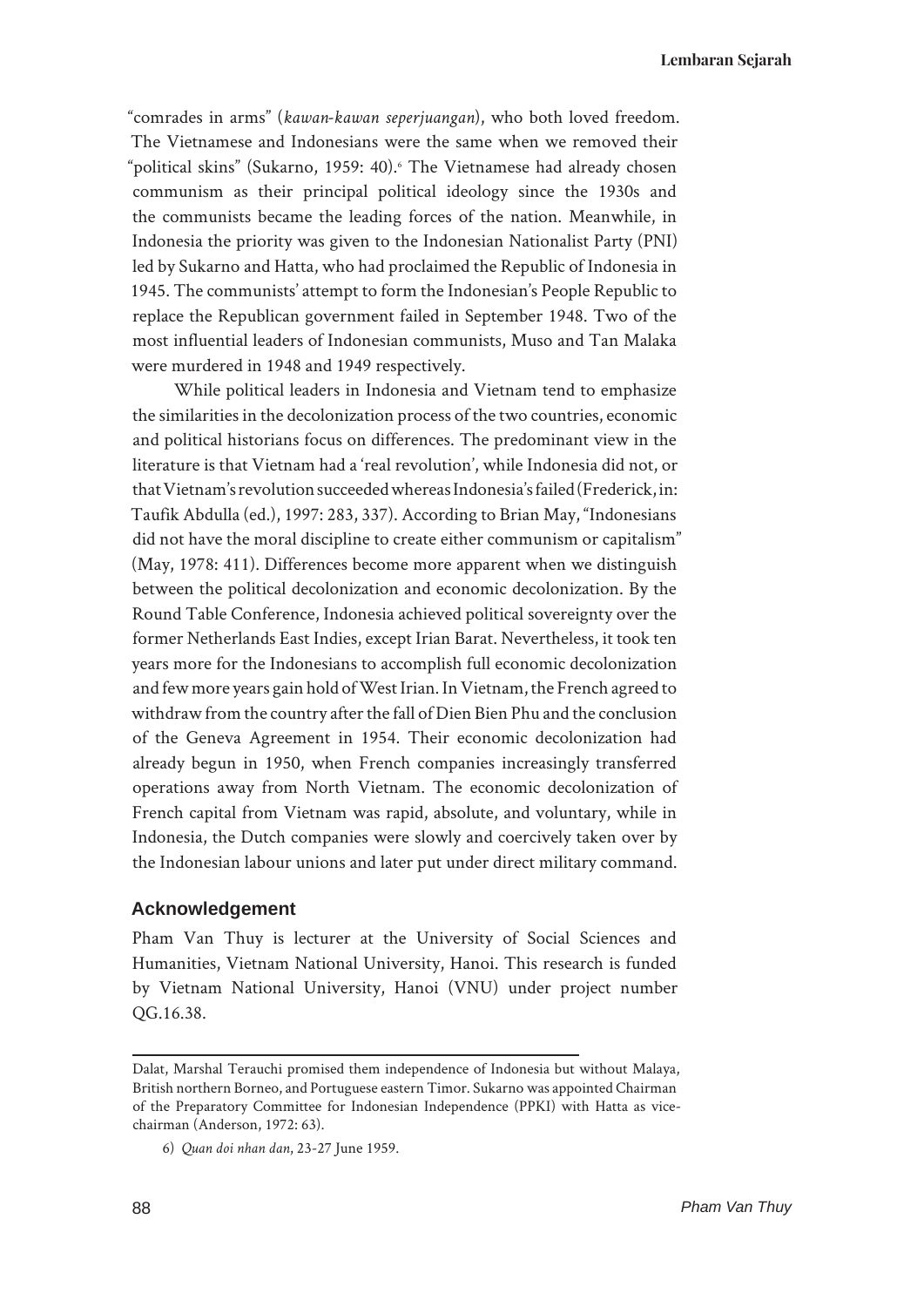"comrades in arms" (*kawan-kawan seperjuangan*), who both loved freedom. The Vietnamese and Indonesians were the same when we removed their "political skins" (Sukarno, 1959: 40).6 The Vietnamese had already chosen communism as their principal political ideology since the 1930s and the communists became the leading forces of the nation. Meanwhile, in Indonesia the priority was given to the Indonesian Nationalist Party (PNI) led by Sukarno and Hatta, who had proclaimed the Republic of Indonesia in 1945. The communists' attempt to form the Indonesian's People Republic to replace the Republican government failed in September 1948. Two of the most influential leaders of Indonesian communists, Muso and Tan Malaka were murdered in 1948 and 1949 respectively.

While political leaders in Indonesia and Vietnam tend to emphasize the similarities in the decolonization process of the two countries, economic and political historians focus on differences. The predominant view in the literature is that Vietnam had a 'real revolution', while Indonesia did not, or that Vietnam's revolution succeeded whereas Indonesia's failed (Frederick, in: Taufik Abdulla (ed.), 1997: 283, 337). According to Brian May, "Indonesians did not have the moral discipline to create either communism or capitalism" (May, 1978: 411). Differences become more apparent when we distinguish between the political decolonization and economic decolonization. By the Round Table Conference, Indonesia achieved political sovereignty over the former Netherlands East Indies, except Irian Barat. Nevertheless, it took ten years more for the Indonesians to accomplish full economic decolonization and few more years gain hold of West Irian. In Vietnam, the French agreed to withdraw from the country after the fall of Dien Bien Phu and the conclusion of the Geneva Agreement in 1954. Their economic decolonization had already begun in 1950, when French companies increasingly transferred operations away from North Vietnam. The economic decolonization of French capital from Vietnam was rapid, absolute, and voluntary, while in Indonesia, the Dutch companies were slowly and coercively taken over by the Indonesian labour unions and later put under direct military command.

### **Acknowledgement**

Pham Van Thuy is lecturer at the University of Social Sciences and Humanities, Vietnam National University, Hanoi. This research is funded by Vietnam National University, Hanoi (VNU) under project number QG.16.38.

Dalat, Marshal Terauchi promised them independence of Indonesia but without Malaya, British northern Borneo, and Portuguese eastern Timor. Sukarno was appointed Chairman of the Preparatory Committee for Indonesian Independence (PPKI) with Hatta as vicechairman (Anderson, 1972: 63).

<sup>6)</sup> *Quan doi nhan dan*, 23-27 June 1959.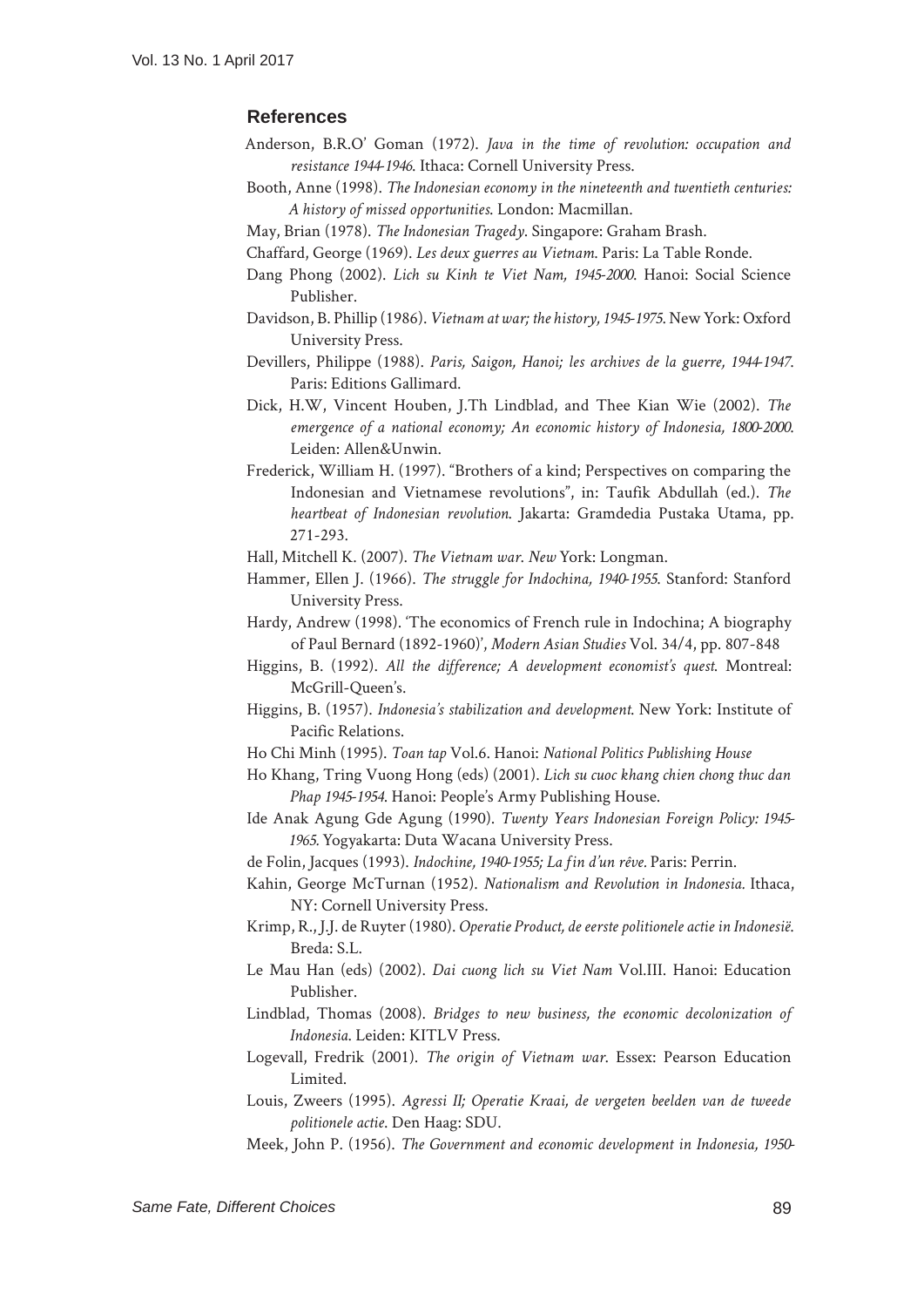#### **References**

- Anderson, B.R.O' Goman (1972). *Java in the time of revolution: occupation and resistance 1944-1946*. Ithaca: Cornell University Press.
- Booth, Anne (1998). *The Indonesian economy in the nineteenth and twentieth centuries: A history of missed opportunities*. London: Macmillan.
- May, Brian (1978). *The Indonesian Tragedy*. Singapore: Graham Brash.
- Chaffard, George (1969). *Les deux guerres au Vietnam*. Paris: La Table Ronde.
- Dang Phong (2002). *Lich su Kinh te Viet Nam, 1945-2000*. Hanoi: Social Science Publisher.
- Davidson, B. Phillip (1986). *Vietnam at war; the history, 1945-1975*. New York: Oxford University Press.
- Devillers, Philippe (1988). *Paris, Saigon, Hanoi; les archives de la guerre, 1944-1947*. Paris: Editions Gallimard.
- Dick, H.W, Vincent Houben, J.Th Lindblad, and Thee Kian Wie (2002). *The emergence of a national economy; An economic history of Indonesia, 1800-2000*. Leiden: Allen&Unwin.
- Frederick, William H. (1997). "Brothers of a kind; Perspectives on comparing the Indonesian and Vietnamese revolutions", in: Taufik Abdullah (ed.). *The heartbeat of Indonesian revolution*. Jakarta: Gramdedia Pustaka Utama, pp. 271-293.
- Hall, Mitchell K. (2007). *The Vietnam war*. *New* York: Longman.
- Hammer, Ellen J. (1966). *The struggle for Indochina, 1940-1955*. Stanford: Stanford University Press.
- Hardy, Andrew (1998). 'The economics of French rule in Indochina; A biography of Paul Bernard (1892-1960)', *Modern Asian Studies* Vol. 34/4, pp. 807-848
- Higgins, B. (1992). *All the diference; A development economist's quest*. Montreal: McGrill-Queen's.
- Higgins, B. (1957). *Indonesia's stabilization and development*. New York: Institute of Pacific Relations.
- Ho Chi Minh (1995). *Toan tap* Vol.6. Hanoi: *National Politics Publishing House*
- Ho Khang, Tring Vuong Hong (eds) (2001). *Lich su cuoc khang chien chong thuc dan Phap 1945-1954*. Hanoi: People's Army Publishing House.
- Ide Anak Agung Gde Agung (1990). *Twenty Years Indonesian Foreign Policy: 1945- 1965.* Yogyakarta: Duta Wacana University Press.
- de Folin, Jacques (1993). *Indochine, 1940-1955; La in d'un rêve.* Paris: Perrin.
- Kahin, George McTurnan (1952). *Nationalism and Revolution in Indonesia.* Ithaca, NY: Cornell University Press.
- Krimp, R., J.J. de Ruyter (1980). *Operatie Product, de eerste politionele actie in Indonesië*. Breda: S.L.
- Le Mau Han (eds) (2002). *Dai cuong lich su Viet Nam* Vol.III. Hanoi: Education Publisher.
- Lindblad, Thomas (2008). *Bridges to new business, the economic decolonization of Indonesia*. Leiden: KITLV Press.
- Logevall, Fredrik (2001). *The origin of Vietnam war*. Essex: Pearson Education Limited.
- Louis, Zweers (1995). *Agressi II; Operatie Kraai, de vergeten beelden van de tweede politionele actie*. Den Haag: SDU.
- Meek, John P. (1956). *The Government and economic development in Indonesia, 1950-*